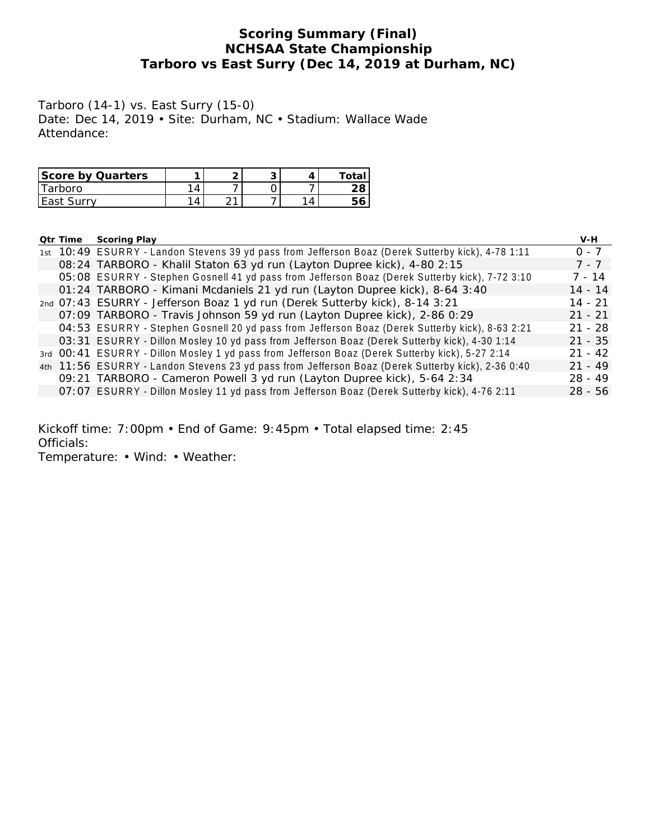# **Scoring Summary (Final) NCHSAA State Championship Tarboro vs East Surry (Dec 14, 2019 at Durham, NC)**

Tarboro (14-1) vs. East Surry (15-0) Date: Dec 14, 2019 • Site: Durham, NC • Stadium: Wallace Wade Attendance:

| Score by Quarters |    | u | ∩†a |
|-------------------|----|---|-----|
| Tarboro           |    |   |     |
| East Surry        | ົາ |   |     |

| Qtr Time | Scoring Play                                                                                      | V-H       |
|----------|---------------------------------------------------------------------------------------------------|-----------|
|          | 1st 10:49 ESURRY - Landon Stevens 39 yd pass from Jefferson Boaz (Derek Sutterby kick), 4-78 1:11 | $0 - 7$   |
|          | 08:24 TARBORO - Khalil Staton 63 yd run (Layton Dupree kick), 4-80 2:15                           | $7 - 7$   |
|          | 05:08 ESURRY - Stephen Gosnell 41 yd pass from Jefferson Boaz (Derek Sutterby kick), 7-72 3:10    | $7 - 14$  |
|          | 01:24 TARBORO - Kimani Mcdaniels 21 yd run (Layton Dupree kick), 8-64 3:40                        | $14 - 14$ |
|          | 2nd 07:43 ESURRY - Jefferson Boaz 1 yd run (Derek Sutterby kick), 8-14 3:21                       | $14 - 21$ |
|          | 07:09 TARBORO - Travis Johnson 59 yd run (Layton Dupree kick), 2-86 0:29                          | $21 - 21$ |
|          | 04:53 ESURRY - Stephen Gosnell 20 yd pass from Jefferson Boaz (Derek Sutterby kick), 8-63 2:21    | $21 - 28$ |
|          | 03:31 ESURRY - Dillon Mosley 10 yd pass from Jefferson Boaz (Derek Sutterby kick), 4-30 1:14      | $21 - 35$ |
|          | 3rd 00:41 ESURRY - Dillon Mosley 1 yd pass from Jefferson Boaz (Derek Sutterby kick), 5-27 2:14   | $21 - 42$ |
|          | 4th 11:56 ESURRY - Landon Stevens 23 yd pass from Jefferson Boaz (Derek Sutterby kick), 2-36 0:40 | $21 - 49$ |
|          | 09:21 TARBORO - Cameron Powell 3 yd run (Layton Dupree kick), 5-64 2:34                           | $28 - 49$ |
|          | 07:07 ESURRY - Dillon Mosley 11 yd pass from Jefferson Boaz (Derek Sutterby kick), 4-76 2:11      | $28 - 56$ |

Kickoff time: 7:00pm • End of Game: 9:45pm • Total elapsed time: 2:45 Officials:

Temperature: • Wind: • Weather: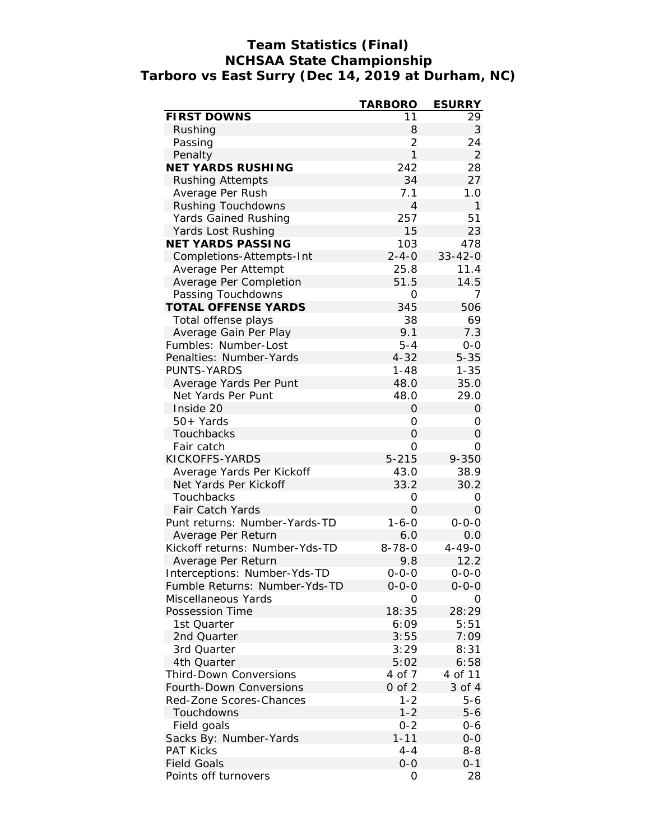# **Team Statistics (Final) NCHSAA State Championship Tarboro vs East Surry (Dec 14, 2019 at Durham, NC)**

|                                | <b>TARBORO</b> | <b>ESURRY</b>       |
|--------------------------------|----------------|---------------------|
| FIRST DOWNS                    | 11             | 29                  |
| Rushing                        | 8              | 3                   |
| Passing                        | $\overline{2}$ | 24                  |
| Penalty                        | $\mathbf{1}$   | $\overline{2}$      |
| NET YARDS RUSHING              | 242            | 28                  |
| <b>Rushing Attempts</b>        | 34             | 27                  |
| Average Per Rush               | 7.1            | 1.0                 |
| Rushing Touchdowns             | $\overline{4}$ | $\mathbf{1}$        |
| Yards Gained Rushing           | 257            | 51                  |
| Yards Lost Rushing             | 15             | 23                  |
| NET YARDS PASSING              | 103            | 478                 |
| Completions-Attempts-Int       | $2 - 4 - 0$    | $33 - 42 - 0$       |
| Average Per Attempt            | 25.8           | 11.4                |
| Average Per Completion         | 51.5           | 14.5                |
| Passing Touchdowns             | 0              | 7                   |
| <b>TOTAL OFFENSE YARDS</b>     | 345            | 506                 |
| Total offense plays            | 38             | 69                  |
| Average Gain Per Play          | 9.1            | 7.3                 |
| Fumbles: Number-Lost           | $5 - 4$        | $0 - 0$             |
| Penalties: Number-Yards        | $4 - 32$       | $5 - 35$            |
| PUNTS-YARDS                    | $1 - 48$       | $1 - 35$            |
| Average Yards Per Punt         | 48.0           | 35.0                |
| Net Yards Per Punt             | 48.0           | 29.0                |
| Inside 20                      | O              | $\Omega$            |
| 50+ Yards                      | 0              | 0                   |
| Touchbacks                     | 0              | $\mathsf{O}\xspace$ |
| Fair catch                     | 0              | 0                   |
| KICKOFFS-YARDS                 | $5 - 215$      | $9 - 350$           |
| Average Yards Per Kickoff      | 43.0           | 38.9                |
| Net Yards Per Kickoff          | 33.2           | 30.2                |
| Touchbacks                     | 0              | $\Omega$            |
| Fair Catch Yards               | $\Omega$       | $\Omega$            |
| Punt returns: Number-Yards-TD  | $1 - 6 - 0$    | $0 - 0 - 0$         |
| Average Per Return             | 6.0            | 0.0                 |
| Kickoff returns: Number-Yds-TD | $8 - 78 - 0$   | $4 - 49 - 0$        |
| Average Per Return             | 9.8            | 12.2                |
| Interceptions: Number-Yds-TD   | $0 - 0 - 0$    | $0 - 0 - 0$         |
| Fumble Returns: Number-Yds-TD  | $0 - 0 - 0$    | $0 - 0 - 0$         |
| Miscellaneous Yards            | O              | Ο                   |
| Possession Time                | 18:35          | 28:29               |
| 1st Quarter                    | 6:09           | 5:51                |
|                                | 3:55           |                     |
| 2nd Quarter                    | 3:29           | 7:09<br>8:31        |
| 3rd Quarter<br>4th Quarter     | 5:02           |                     |
| Third-Down Conversions         | 4 of 7         | 6:58                |
|                                |                | 4 of 11             |
| Fourth-Down Conversions        | $0$ of $2$     | 3 of 4              |
| Red-Zone Scores-Chances        | $1 - 2$        | 5-6                 |
| Touchdowns                     | $1 - 2$        | $5 - 6$             |
| Field goals                    | $0 - 2$        | 0-6                 |
| Sacks By: Number-Yards         | $1 - 11$       | $0 - 0$             |
| <b>PAT Kicks</b>               | 4-4            | $8 - 8$             |
| <b>Field Goals</b>             | $O-O$          | $0 - 1$             |
| Points off turnovers           | 0              | 28                  |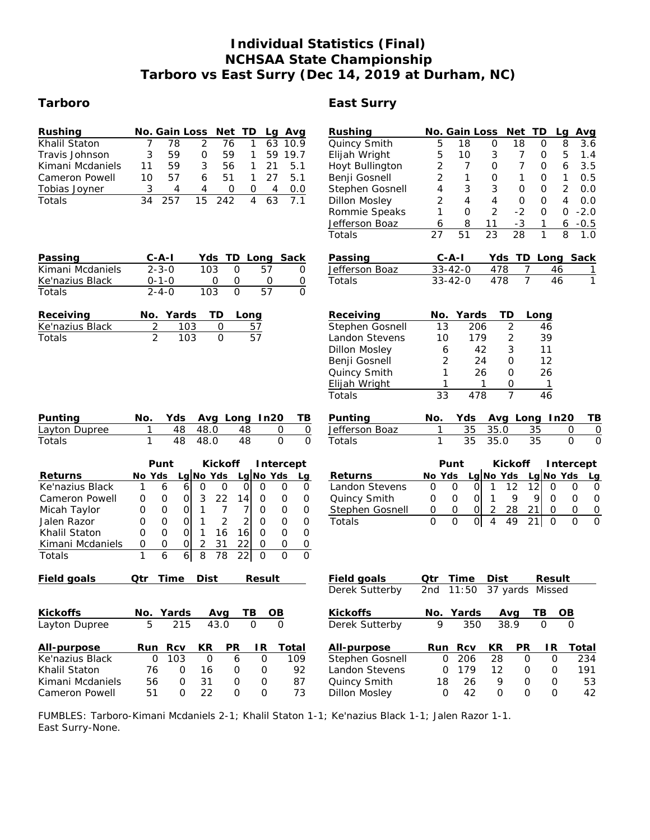# **Individual Statistics (Final) NCHSAA State Championship Tarboro vs East Surry (Dec 14, 2019 at Durham, NC)**

# **Tarboro East Surry**

| Rushing<br>Khalil Staton<br>Travis Johnson<br>Kimani Mcdaniels<br>Cameron Powell<br>Tobias Joyner<br>Totals<br>Passing<br>Kimani Mcdaniels<br>Ke'nazius Black<br>Totals | No. Gain Loss<br>Net TD<br>Lg Avg<br>78<br>2<br>76<br>63<br>7<br>1<br>10.9<br>3<br>59<br>$\mathsf O$<br>$\mathbf{1}$<br>59 19.7<br>59<br>3<br>56<br>$\mathbf{1}$<br>5.1<br>11<br>59<br>21<br>57<br>5.1<br>10<br>6<br>51<br>$\mathbf{1}$<br>27<br>3<br>4<br>4<br>0<br>0.0<br>0<br>4<br>$\overline{15}$<br>63<br>34<br>257<br>4<br>7.1<br>242<br>$C - A - I$<br>Yds TD Long Sack<br>$2 - 3 - 0$<br>103<br>$\mathsf{O}$<br>57<br>0<br>$\mathsf{O}$<br>0<br>0<br>$0 - 1 - 0$<br>$\overline{0}$<br>$\overline{0}$<br>$2 - 4 - 0$<br>103<br>57<br>$\Omega$                                                                                                                                                                                                                                                  | Rushing<br>Quincy Smith<br>Elijah Wright<br>Hoyt Bullington<br>Benji Gosnell<br>Stephen Gosnell<br><b>Dillon Mosley</b><br>Rommie Speaks<br>Jefferson Boaz<br>Totals<br>Passing<br>Jefferson Boaz<br>Totals | No. Gain Loss<br>Net<br>Avg<br>TD<br>La<br>5<br>18<br>8<br>3.6<br>18<br>0<br>0<br>5<br>5<br>10<br>3<br>7<br>1.4<br>0<br>$\overline{c}$<br>7<br>0<br>7<br>3.5<br>6<br>0<br>$\overline{2}$<br>1<br>0<br>1<br>0<br>1<br>0.5<br>4<br>3<br>3<br>$\overline{2}$<br>0<br>0<br>0.0<br>$\overline{2}$<br>$\overline{4}$<br>$\overline{4}$<br>4<br>0<br>0<br>0.0<br>$\overline{2}$<br>$\Omega$<br>$-2$<br>$-2.0$<br>1<br>$\mathbf{O}$<br>$\mathbf{O}$<br>$-3$<br>8<br>11<br>$\boldsymbol{6}$<br>$-0.5$<br>6<br>1<br>51<br>23<br>$\overline{28}$<br>1<br>$\overline{8}$<br>27<br>1.0<br>Yds TD Long<br>Sack<br>$C - A - I$<br>$33 - 42 - 0$<br>478<br>$\overline{7}$<br>46<br>1<br>$\overline{7}$<br>478<br>46<br>$\mathbf{1}$<br>$33 - 42 - 0$ |
|-------------------------------------------------------------------------------------------------------------------------------------------------------------------------|-------------------------------------------------------------------------------------------------------------------------------------------------------------------------------------------------------------------------------------------------------------------------------------------------------------------------------------------------------------------------------------------------------------------------------------------------------------------------------------------------------------------------------------------------------------------------------------------------------------------------------------------------------------------------------------------------------------------------------------------------------------------------------------------------------|-------------------------------------------------------------------------------------------------------------------------------------------------------------------------------------------------------------|--------------------------------------------------------------------------------------------------------------------------------------------------------------------------------------------------------------------------------------------------------------------------------------------------------------------------------------------------------------------------------------------------------------------------------------------------------------------------------------------------------------------------------------------------------------------------------------------------------------------------------------------------------------------------------------------------------------------------------------|
| Receiving<br>Ke'nazius Black<br>Totals                                                                                                                                  | No. Yards<br>TD<br>Long<br>$\overline{2}$<br>103<br>$\mathbf{O}$<br>57<br>$\overline{2}$<br>$\overline{57}$<br>$\overline{O}$<br>103                                                                                                                                                                                                                                                                                                                                                                                                                                                                                                                                                                                                                                                                  | Receiving<br>Stephen Gosnell<br>Landon Stevens<br><b>Dillon Mosley</b><br>Benji Gosnell<br>Quincy Smith<br>Elijah Wright<br>Totals                                                                          | Yards<br>TD<br>No.<br>Long<br>13<br>$\overline{2}$<br>206<br>46<br>$\overline{2}$<br>179<br>39<br>10<br>3<br>42<br>11<br>6<br>2<br>24<br>12<br>0<br>1<br>26<br>26<br>0<br>1<br>1<br>0<br>$\mathbf{1}$<br>$\overline{7}$<br>33<br>478<br>46                                                                                                                                                                                                                                                                                                                                                                                                                                                                                           |
| Punting<br>Layton Dupree<br>Totals                                                                                                                                      | Yds<br>Avg Long<br>In20<br>No.<br>TВ<br>48<br>48<br>$\mathbf 0$<br>48.0<br>$\overline{0}$<br>1<br>$\overline{0}$<br>$\overline{0}$<br>1<br>48<br>48.0<br>48                                                                                                                                                                                                                                                                                                                                                                                                                                                                                                                                                                                                                                           | Punting<br>Jefferson Boaz<br>Totals                                                                                                                                                                         | Yds<br>Avg Long<br>In20<br>ΤB<br>No.<br>35<br>35.0<br>35<br>1<br>0<br>0<br>$\overline{35}$<br>35.0<br>$\overline{35}$<br>1<br>$\overline{O}$<br>$\Omega$                                                                                                                                                                                                                                                                                                                                                                                                                                                                                                                                                                             |
| Returns<br>Ke'nazius Black<br>Cameron Powell<br>Micah Taylor<br>Jalen Razor<br>Khalil Staton<br>Kimani Mcdaniels<br>Totals                                              | Punt<br>Kickoff<br>Intercept<br>Lg No Yds<br>Lg No Yds<br>No Yds<br>Lg<br>6<br>0<br>6<br>0<br>$\overline{O}$<br>$\mathbf 0$<br>1<br>0<br>0<br>$\mathsf{O}\xspace$<br>3<br>22<br>14<br>$\mbox{O}$<br>0<br>0<br>0<br>0<br>$\overline{7}$<br>$\mathsf{O}\xspace$<br>1<br>$\overline{7}$<br>$\mathbf 0$<br>$\mathsf O$<br>0<br>0<br>0<br>$\overline{2}$<br>$\overline{2}$<br>0<br>$\mathbf{O}$<br>$\mathbf 0$<br>1<br>$\mathbf{O}$<br>$\mathbf 0$<br>$\mathbf 0$<br>$\mathbf 0$<br>16<br>16<br>$\mathbf 0$<br>O<br>0<br>1<br>$\mathbf{O}$<br>$\mathbf{O}$<br>$\overline{2}$<br>31<br>22<br>$\overline{O}$<br>$\mathsf O$<br>$\mathsf{O}$<br>$\mathsf O$<br>$\mathsf{O}$<br>0<br>$\overline{0}$<br>8<br>$\overline{78}$<br>$\mathbf{1}$<br>6<br>$\boldsymbol{6}$<br>22<br>$\overline{O}$<br>$\overline{O}$ | Returns<br>Landon Stevens<br>Quincy Smith<br>Stephen Gosnell<br>Totals                                                                                                                                      | Punt<br>Kickoff<br>Intercept<br>Lg No Yds<br>Lg $No$ Yds<br>No Yds<br>Lg<br>$\mathbf 0$<br>$\mathbf 0$<br>$\mathbf 0$<br>12<br>12<br>1<br>0<br>0<br>0<br>$\mathbf{1}$<br>9<br>9<br>$\mathsf O$<br>$\mathbf 0$<br> 0 <br>$\overline{0}$<br>$\mathbf 0$<br>$\mathbf 0$<br>28<br>21<br>$\mathbf 0$<br>$\overline{O}$<br>$\mathbf 0$<br>$\overline{O}$<br>2<br>$\mathbf 0$<br>0<br>$\Omega$<br>49<br>$\overline{0}$<br>$\Omega$<br> 0 <br>$\overline{4}$<br>21<br>$\mathbf 0$<br>$\Omega$                                                                                                                                                                                                                                                |
| Field goals                                                                                                                                                             | Time<br>Dist<br>Result<br>Qtr                                                                                                                                                                                                                                                                                                                                                                                                                                                                                                                                                                                                                                                                                                                                                                         | Field goals<br>Derek Sutterby                                                                                                                                                                               | Time<br>Dist<br>Qtr<br>Result<br>37 yards<br>2nd<br>11:50<br>Missed                                                                                                                                                                                                                                                                                                                                                                                                                                                                                                                                                                                                                                                                  |
| Kickoffs<br>Layton Dupree                                                                                                                                               | No. Yards<br>Avg<br>TB<br>$\overline{OB}$<br>5<br>215<br>43.0<br>$\Omega$<br>0                                                                                                                                                                                                                                                                                                                                                                                                                                                                                                                                                                                                                                                                                                                        | <b>Kickoffs</b><br>Derek Sutterby                                                                                                                                                                           | No. Yards<br>Avg<br>TВ<br>$\overline{OB}$<br>9<br>350<br>38.9<br>0<br>$\Omega$                                                                                                                                                                                                                                                                                                                                                                                                                                                                                                                                                                                                                                                       |
| All-purpose<br>Ke'nazius Black<br>Khalil Staton<br>Kimani Mcdaniels<br>Cameron Powell                                                                                   | PR<br>Run<br>Rcv<br>KR<br>IR<br>Total<br>103<br>0<br>0<br>6<br>0<br>109<br>92<br>76<br>$\mathsf{O}$<br>16<br>$\mathsf O$<br>$\mathsf O$<br>31<br>56<br>$\mathsf{O}\xspace$<br>$\mathsf O$<br>87<br>0<br>22<br>51<br>$\overline{O}$<br>$\overline{O}$<br>$\mathsf{O}$<br>73                                                                                                                                                                                                                                                                                                                                                                                                                                                                                                                            | All-purpose<br>Stephen Gosnell<br>Landon Stevens<br>Quincy Smith<br><b>Dillon Mosley</b>                                                                                                                    | <b>PR</b><br>Run<br>Rcv<br>KR<br>IR<br>Total<br>$\mathsf O$<br>206<br>28<br>0<br>$\mathbf 0$<br>234<br>$\mathsf{O}\xspace$<br>179<br>12<br>191<br>$\mathbf 0$<br>$\mathsf O$<br>18<br>26<br>9<br>$\mathsf O$<br>$\mathsf O$<br>53<br>42<br>$\overline{O}$<br>$\Omega$<br>$\Omega$<br>$\mathbf{O}$<br>42                                                                                                                                                                                                                                                                                                                                                                                                                              |

FUMBLES: Tarboro-Kimani Mcdaniels 2-1; Khalil Staton 1-1; Ke'nazius Black 1-1; Jalen Razor 1-1. East Surry-None.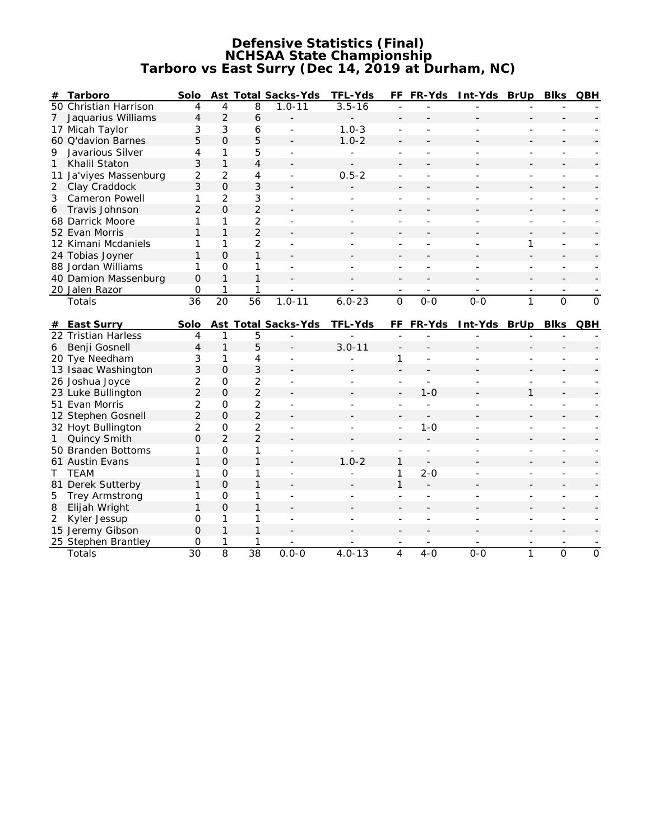#### **Defensive Statistics (Final) NCHSAA State Championship Tarboro vs East Surry (Dec 14, 2019 at Durham, NC)**

| #  | Tarboro                | Solo           |                     |                 | Ast Total Sacks-Yds      | TFL-Yds    |                          | FF FR-Yds | Int-Yds BrUp |                          | <b>Blks</b>              | QBH            |
|----|------------------------|----------------|---------------------|-----------------|--------------------------|------------|--------------------------|-----------|--------------|--------------------------|--------------------------|----------------|
|    | 50 Christian Harrison  | 4              | 4                   | 8               | $1.0 - 11$               | $3.5 - 16$ |                          |           |              |                          |                          |                |
| 7  | Jaquarius Williams     | $\overline{4}$ | $\overline{2}$      | 6               |                          |            |                          |           |              |                          |                          |                |
|    | 17 Micah Taylor        | 3              | 3                   | 6               |                          | $1.0 - 3$  |                          |           |              |                          |                          |                |
|    | 60 Q'davion Barnes     | 5              | $\overline{O}$      | 5               |                          | $1.0 - 2$  |                          |           |              |                          |                          |                |
| 9  | Javarious Silver       | $\overline{4}$ | 1                   | 5               |                          |            | ä,                       |           |              |                          |                          |                |
| 1  | Khalil Staton          | 3              | $\mathbf{1}$        | 4               |                          |            |                          |           |              |                          |                          |                |
|    | 11 Ja'viyes Massenburg | $\overline{2}$ | $\overline{2}$      | 4               |                          | $0.5 - 2$  |                          |           |              |                          | ٠                        |                |
|    | 2 Clay Craddock        | 3              | $\overline{O}$      | 3               |                          |            |                          |           |              |                          |                          |                |
| 3  | <b>Cameron Powell</b>  | 1              | 2                   | 3               | $\overline{\phantom{a}}$ |            | ÷                        |           |              | ä,                       | ٠                        |                |
| 6  | Travis Johnson         | $\overline{2}$ | $\Omega$            | $\overline{2}$  |                          |            |                          |           |              |                          |                          |                |
|    | 68 Darrick Moore       | $\mathbf{1}$   | 1                   | $\overline{2}$  |                          |            |                          |           |              |                          |                          |                |
|    | 52 Evan Morris         | $\mathbf{1}$   | $\mathbf{1}$        | $\overline{2}$  |                          |            |                          |           |              |                          |                          |                |
|    | 12 Kimani Mcdaniels    | 1              | 1                   | $\overline{2}$  |                          |            |                          |           |              | 1                        | $\overline{a}$           |                |
|    | 24 Tobias Joyner       | $\mathbf{1}$   | $\overline{O}$      | 1               |                          |            |                          |           |              |                          |                          |                |
|    | 88 Jordan Williams     | 1              | $\Omega$            | 1               | $\overline{a}$           |            | $\overline{a}$           |           |              | L                        |                          |                |
|    | 40 Damion Massenburg   | $\mathbf 0$    | $\mathbf{1}$        | 1               |                          |            | $\overline{a}$           |           |              |                          |                          |                |
|    | 20 Jalen Razor         | $\mathbf 0$    | 1                   | 1               |                          |            | $\overline{\phantom{a}}$ |           |              | $\overline{\phantom{a}}$ | $\overline{\phantom{a}}$ |                |
|    | Totals                 | 36             | $\overline{20}$     | 56              | $1.0 - 11$               | $6.0 - 23$ | $\overline{O}$           | $0 - 0$   | $0 - 0$      | 1                        | $\Omega$                 | $\overline{0}$ |
|    |                        |                |                     |                 |                          |            |                          |           |              |                          |                          |                |
| #  | East Surry             | Solo           |                     |                 | Ast Total Sacks-Yds      | TFL-Yds    |                          | FF FR-Yds | Int-Yds BrUp |                          | <b>BIks</b>              | QBH            |
|    | 22 Tristian Harless    | 4              | 1                   | 5               |                          |            |                          |           |              |                          |                          |                |
| 6  | Benji Gosnell          | $\overline{4}$ | 1                   | 5               |                          | $3.0 - 11$ |                          |           |              |                          |                          |                |
|    | 20 Tye Needham         | 3              | 1                   | $\overline{4}$  |                          |            | 1                        |           |              |                          |                          |                |
|    | 13 Isaac Washington    | 3              | $\Omega$            | 3               |                          |            |                          |           |              |                          |                          |                |
|    | 26 Joshua Joyce        | $\overline{2}$ | 0                   | $\overline{2}$  |                          |            |                          |           |              |                          |                          |                |
|    | 23 Luke Bullington     | $\overline{2}$ | $\Omega$            | $\overline{2}$  |                          |            |                          | $1 - 0$   |              | 1                        |                          |                |
|    | 51 Evan Morris         | $\overline{2}$ | $\mathsf{O}\xspace$ | $\overline{2}$  |                          |            |                          |           |              |                          |                          |                |
|    | 12 Stephen Gosnell     | $\overline{2}$ | $\mathbf 0$         | $\overline{2}$  |                          |            |                          |           |              |                          |                          |                |
|    | 32 Hoyt Bullington     | $\overline{2}$ | $\mathsf{O}\xspace$ | $\overline{2}$  |                          |            |                          | $1 - 0$   |              |                          |                          |                |
| 1  | Quincy Smith           | $\Omega$       | $\overline{2}$      | $\overline{2}$  |                          |            |                          |           |              |                          |                          |                |
|    | 50 Branden Bottoms     | 1              | $\mathsf O$         | 1               | $\overline{\phantom{a}}$ |            | ÷.                       | $\sim$    |              | ٠                        | $\sim$                   |                |
|    | 61 Austin Evans        | $\mathbf{1}$   | $\overline{O}$      | 1               |                          | $1.0 - 2$  | 1                        |           |              |                          |                          |                |
| T. | <b>TEAM</b>            | 1              | $\mathsf O$         | 1               |                          |            | 1                        | $2 - 0$   |              |                          |                          |                |
|    | 81 Derek Sutterby      | $\mathbf{1}$   | $\overline{O}$      | $\mathbf{1}$    |                          |            | $\mathbf{1}$             |           |              |                          |                          |                |
| 5  | Trey Armstrong         | 1              | $\overline{O}$      | 1               |                          |            |                          |           |              |                          |                          |                |
| 8  | Elijah Wright          | $\mathbf{1}$   | $\Omega$            | 1               |                          |            |                          |           |              |                          |                          |                |
| 2  | Kyler Jessup           | $\Omega$       | 1                   | 1               | $\blacksquare$           |            |                          |           |              |                          | ٠                        |                |
|    | 15 Jeremy Gibson       | $\overline{O}$ | $\mathbf{1}$        | 1               |                          |            |                          |           |              |                          |                          |                |
|    | 25 Stephen Brantley    | 0              |                     | 1               |                          |            |                          |           |              |                          |                          |                |
|    | Totals                 | 30             | 8                   | $\overline{38}$ | $0.0 - 0$                | $4.0 - 13$ | 4                        | $4 - 0$   | $O - O$      | $\mathbf{1}$             | 0                        | $\mathbf 0$    |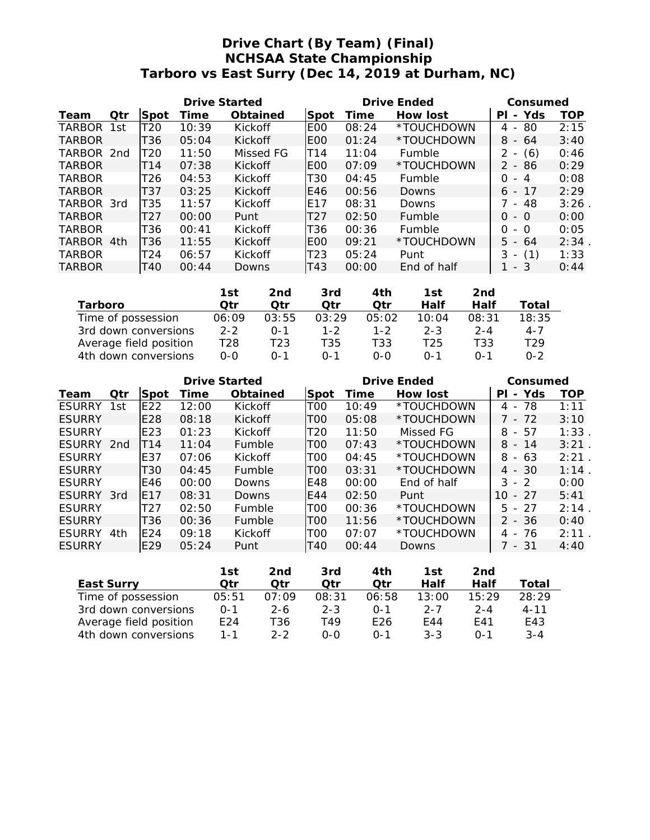# **Drive Chart (By Team) (Final) NCHSAA State Championship Tarboro vs East Surry (Dec 14, 2019 at Durham, NC)**

|               | Drive Started |                 |       |           |                  |       | Drive Ended   | Consumed                              |      |
|---------------|---------------|-----------------|-------|-----------|------------------|-------|---------------|---------------------------------------|------|
| Team          | Qtr           | Spot            | Time  | Obtained  | ISpot            | Time  | How lost      | Yds<br>ΡI<br>$\overline{\phantom{0}}$ | TOP  |
| TARBOR        | 1st           | T20             | 10:39 | Kickoff   | <b>EOO</b>       | 08:24 | *TOUCHDOWN    | -80<br>4 -                            | 2:15 |
| <b>TARBOR</b> |               | T36             | 05:04 | Kickoff   | <b>IEOO</b>      | 01:24 | *TOUCHDOWN    | $8 - 64$                              | 3:40 |
| TARBOR 2nd    |               | T <sub>20</sub> | 11:50 | Missed FG | T14              | 11:04 | Fumble        | 2<br>(6)<br>$\overline{\phantom{a}}$  | 0:46 |
| <b>TARBOR</b> |               | T14             | 07:38 | Kickoff   | IEOO             | 07:09 | *TOUCHDOWN    | 2 - 86                                | 0:29 |
| <b>TARBOR</b> |               | T <sub>26</sub> | 04:53 | Kickoff   | T <sub>30</sub>  | 04:45 | Fumble        | O<br>-4<br>$-$                        | 0:08 |
| <b>TARBOR</b> |               | T37             | 03:25 | Kickoff   | E46              | 00:56 | Downs         | -17<br>6 -                            | 2:29 |
| TARBOR 3rd    |               | T35             | 11:57 | Kickoff   | E17              | 08:31 | Downs         | - 48                                  | 3:26 |
| <b>TARBOR</b> |               | T <sub>27</sub> | 00:00 | Punt      | T <sub>2</sub> 7 | 02:50 | <b>Fumble</b> | $-$ 0<br>O                            | 0:00 |
| <b>TARBOR</b> |               | T36             | 00:41 | Kickoff   | T36              | 00:36 | Fumble        | 0<br>- 0                              | 0:05 |
| TARBOR 4th    |               | T36             | 11:55 | Kickoff   | <b>IEOO</b>      | 09:21 | *TOUCHDOWN    | $5 - 64$                              | 2:34 |
| <b>TARBOR</b> |               | T24             | 06:57 | Kickoff   | T <sub>23</sub>  | 05:24 | Punt          | (1)<br>3                              | 1:33 |
| <b>TARBOR</b> |               | T40             | 00:44 | Downs     | T43              | 00:00 | End of half   | - 3                                   | 0:44 |

|                        | 1st.    | 2nd     | 3rd     | 4th     | 1st          | 2nd     |                 |
|------------------------|---------|---------|---------|---------|--------------|---------|-----------------|
| Tarboro                | Otr     | Otr     | Otr     | ∩tr     | Half         | Half    | Total           |
| Time of possession     | 06:09   | 03:55   | 03:29   | 05:02   | 10:04        | 08:31   | 18:35           |
| 3rd down conversions   | $2 - 2$ | $0 - 1$ | $1 - 2$ | $1 - 2$ | $2 - 3$      | $2 - 4$ | $4 - 7$         |
| Average field position | T28     | T23     | T35     | T33.    | T25          | T33     | T <sub>29</sub> |
| 4th down conversions   | $O-O$   | ∩-1     | ∩-1     | $O-O$   | $\Omega - 1$ | በ-1     | $0 - 2$         |

|               | Drive Started |                 |       |               |                 |       | Drive Ended | Consumed                                       |      |
|---------------|---------------|-----------------|-------|---------------|-----------------|-------|-------------|------------------------------------------------|------|
| Team          | Otr           | Spot            | 1 ime | Obtained      | Spot            | Time  | How lost    | Yds<br>PI<br>$\overline{\phantom{a}}$          | TOP  |
| <b>ESURRY</b> | 1st           | E <sub>22</sub> | 12:00 | Kickoff       | T <sub>0</sub>  | 10:49 | *TOUCHDOWN  | 78<br>4<br>$\overline{\phantom{a}}$            | 1:11 |
| <b>ESURRY</b> |               | E <sub>28</sub> | 08:18 | Kickoff       | TOO             | 05:08 | *TOUCHDOWN  | 7 - 72                                         | 3:10 |
| <b>ESURRY</b> |               | E23             | 01:23 | Kickoff       | T <sub>20</sub> | 11:50 | Missed FG   | 57<br>8<br>$\sim$                              | 1:33 |
| ESURRY 2nd    |               | T14             | 11:04 | <b>Fumble</b> | T <sub>0</sub>  | 07:43 | *TOUCHDOWN  | 8<br>- 14                                      | 3:21 |
| <b>ESURRY</b> |               | E37             | 07:06 | Kickoff       | T00             | 04:45 | *TOUCHDOWN  | 8<br>- 63                                      | 2:21 |
| <b>ESURRY</b> |               | T30             | 04:45 | Fumble        | TOO             | 03:31 | *TOUCHDOWN  | $4 - 30$                                       | 1:14 |
| <b>ESURRY</b> |               | E46             | 00:00 | Downs         | E48             | 00:00 | End of half | 3<br>$\mathcal{P}$<br>$\overline{\phantom{a}}$ | 0:00 |
| ESURRY        | -3rd          | <b>E17</b>      | 08:31 | Downs         | E44             | 02:50 | Punt        | $-27$<br>10.                                   | 5:41 |
| <b>ESURRY</b> |               | T <sub>27</sub> | 02:50 | <b>Fumble</b> | T <sub>0</sub>  | 00:36 | *TOUCHDOWN  | $5 - 27$                                       | 2:14 |
| <b>ESURRY</b> |               | T36             | 00:36 | <b>Fumble</b> | T <sub>0</sub>  | 11:56 | *TOUCHDOWN  | $2 - 36$                                       | 0:40 |
| <b>ESURRY</b> | 4th           | E24             | 09:18 | Kickoff       | TOO             | 07:07 | *TOUCHDOWN  | -76<br>4 -                                     | 2:11 |
| <b>ESURRY</b> |               | E29             | 05:24 | Punt          | T40             | 00:44 | Downs       | 7 - 31                                         | 4:40 |

|                        | 1st     | 2nd     | 3rd     | 4th      | 1st.    | 2nd     |          |
|------------------------|---------|---------|---------|----------|---------|---------|----------|
| East Surry             | ∩tr     | ∩tr     | ∩tr     | ∩tr      | Half    | Half    | Total    |
| Time of possession     | 05:51   | 07:09   | 08:31   | 06:58    | 13:00   | 15:29   | 28:29    |
| 3rd down conversions   | $0 - 1$ | 2-6     | $2 - 3$ | $() - 1$ | $2 - 7$ | $2 - 4$ | $4 - 11$ |
| Average field position | E24     | T36     | T49.    | F26      | F44     | F41     | E43      |
| 4th down conversions   | $1 - 1$ | $2 - 2$ | റ-റ     | $0 - 1$  | $3 - 3$ | $0 - 1$ | $3 - 4$  |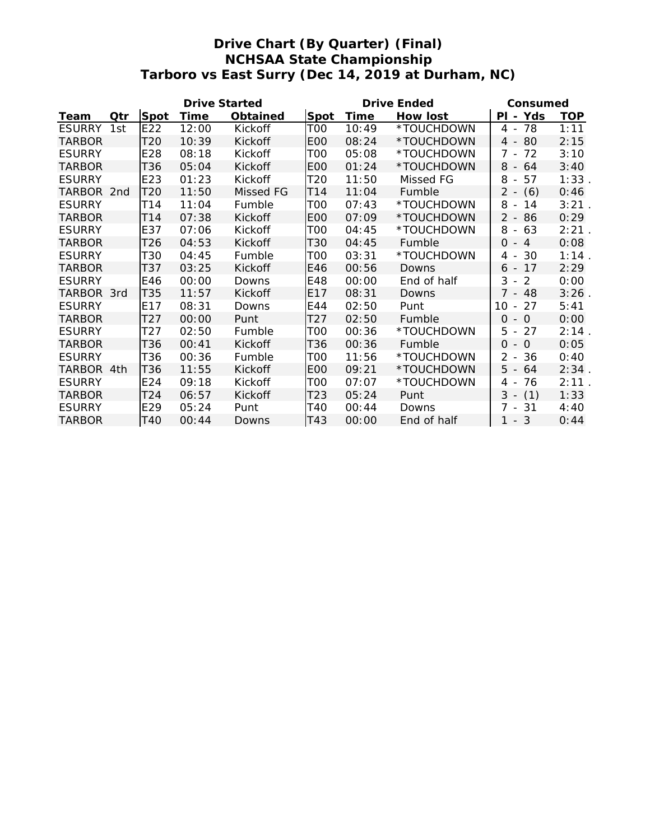# **Drive Chart (By Quarter) (Final) NCHSAA State Championship Tarboro vs East Surry (Dec 14, 2019 at Durham, NC)**

|               |     |      | Drive Started |           |                 |       | Drive Ended | Consumed           |            |
|---------------|-----|------|---------------|-----------|-----------------|-------|-------------|--------------------|------------|
| Team          | Qtr | Spot | Time          | Obtained  | Spot            | Time  | How lost    | PI - Yds           | <b>TOP</b> |
| <b>ESURRY</b> | 1st | E22  | 12:00         | Kickoff   | TOO             | 10:49 | *TOUCHDOWN  | 4 - 78             | 1:11       |
| TARBOR        |     | T20  | 10:39         | Kickoff   | E <sub>0</sub>  | 08:24 | *TOUCHDOWN  | 80<br>$4 -$        | 2:15       |
| <b>ESURRY</b> |     | E28  | 08:18         | Kickoff   | TOO             | 05:08 | *TOUCHDOWN  | $7 -$<br>72        | 3:10       |
| <b>TARBOR</b> |     | T36  | 05:04         | Kickoff   | <b>EOO</b>      | 01:24 | *TOUCHDOWN  | $8 - 64$           | 3:40       |
| <b>ESURRY</b> |     | E23  | 01:23         | Kickoff   | T <sub>20</sub> | 11:50 | Missed FG   | 8<br>57<br>$-$     | 1:33       |
| TARBOR 2nd    |     | T20  | 11:50         | Missed FG | T14             | 11:04 | Fumble      | $2 - (6)$          | 0:46       |
| <b>ESURRY</b> |     | T14  | 11:04         | Fumble    | TOO             | 07:43 | *TOUCHDOWN  | $8 -$<br>14        | 3:21       |
| <b>TARBOR</b> |     | T14  | 07:38         | Kickoff   | E <sub>0</sub>  | 07:09 | *TOUCHDOWN  | $2 - 86$           | 0:29       |
| <b>ESURRY</b> |     | E37  | 07:06         | Kickoff   | TOO             | 04:45 | *TOUCHDOWN  | 8<br>63<br>$\sim$  | 2:21       |
| <b>TARBOR</b> |     | T26  | 04:53         | Kickoff   | T30             | 04:45 | Fumble      | $\Omega$<br>$-4$   | 0:08       |
| <b>ESURRY</b> |     | T30  | 04:45         | Fumble    | TOO             | 03:31 | *TOUCHDOWN  | 4 -<br>-30         | 1:14       |
| <b>TARBOR</b> |     | T37  | 03:25         | Kickoff   | E46             | 00:56 | Downs       | -17<br>$6 -$       | 2:29       |
| <b>ESURRY</b> |     | E46  | 00:00         | Downs     | E48             | 00:00 | End of half | $3 -$<br>2         | 0:00       |
| TARBOR 3rd    |     | T35  | 11:57         | Kickoff   | E <sub>17</sub> | 08:31 | Downs       | $7 - 48$           | 3:26       |
| <b>ESURRY</b> |     | E17  | 08:31         | Downs     | E44             | 02:50 | Punt        | 10<br>27<br>$\sim$ | 5:41       |
| TARBOR        |     | T27  | 00:00         | Punt      | T27             | 02:50 | Fumble      | $0 -$<br>$\Omega$  | 0:00       |
| <b>ESURRY</b> |     | T27  | 02:50         | Fumble    | TOO             | 00:36 | *TOUCHDOWN  | 5<br>27<br>$\sim$  | 2:14       |
| <b>TARBOR</b> |     | T36  | 00:41         | Kickoff   | T36             | 00:36 | Fumble      | $\Omega$<br>$-$ 0  | 0:05       |
| <b>ESURRY</b> |     | T36  | 00:36         | Fumble    | TOO             | 11:56 | *TOUCHDOWN  | $2 - 36$           | 0:40       |
| TARBOR 4th    |     | T36  | 11:55         | Kickoff   | E <sub>0</sub>  | 09:21 | *TOUCHDOWN  | $5 - 64$           | 2:34.      |
| <b>ESURRY</b> |     | E24  | 09:18         | Kickoff   | TOO             | 07:07 | *TOUCHDOWN  | 76<br>$4 -$        | 2:11       |
| <b>TARBOR</b> |     | T24  | 06:57         | Kickoff   | T23             | 05:24 | Punt        | $3 - (1)$          | 1:33       |
| <b>ESURRY</b> |     | E29  | 05:24         | Punt      | T40             | 00:44 | Downs       | 7 - 31             | 4:40       |
| <b>TARBOR</b> |     | T40  | 00:44         | Downs     | T43             | 00:00 | End of half | $-3$<br>1          | 0:44       |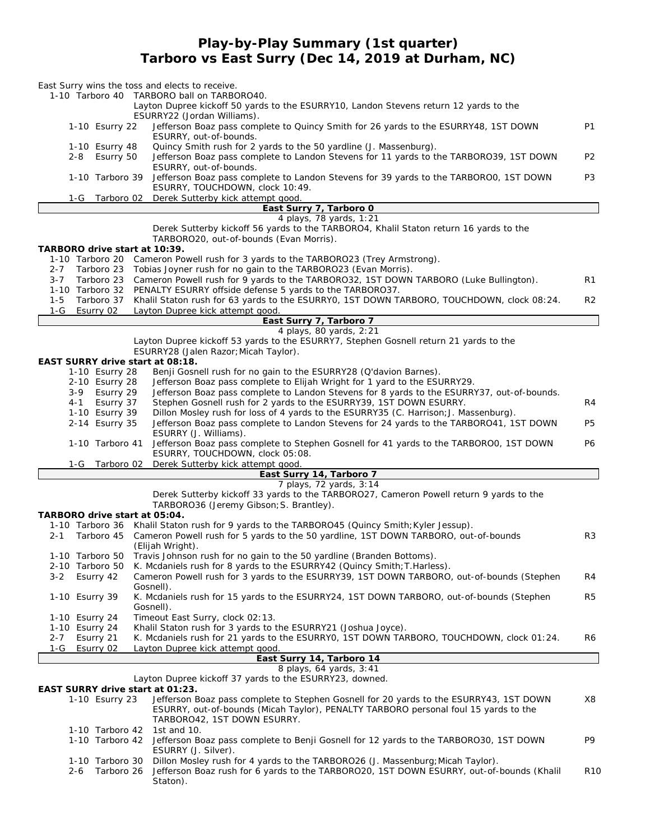## **Play-by-Play Summary (1st quarter) Tarboro vs East Surry (Dec 14, 2019 at Durham, NC)**

| East Surry wins the toss and elects to receive.<br>1-10 Tarboro 40 TARBORO ball on TARBORO40.                                                                                                                                  |                 |
|--------------------------------------------------------------------------------------------------------------------------------------------------------------------------------------------------------------------------------|-----------------|
| Layton Dupree kickoff 50 yards to the ESURRY10, Landon Stevens return 12 yards to the                                                                                                                                          |                 |
| ESURRY22 (Jordan Williams).<br>Jefferson Boaz pass complete to Quincy Smith for 26 yards to the ESURRY48, 1ST DOWN<br>1-10 Esurry 22<br>ESURRY, out-of-bounds.                                                                 | <b>P1</b>       |
| Quincy Smith rush for 2 yards to the 50 yardline (J. Massenburg).<br>1-10 Esurry 48                                                                                                                                            |                 |
| Jefferson Boaz pass complete to Landon Stevens for 11 yards to the TARBORO39, 1ST DOWN<br>$2 - 8$<br>Esurry 50<br>ESURRY, out-of-bounds.                                                                                       | P <sub>2</sub>  |
| 1-10 Tarboro 39<br>Jefferson Boaz pass complete to Landon Stevens for 39 yards to the TARBOROO, 1ST DOWN<br>ESURRY, TOUCHDOWN, clock 10:49.                                                                                    | P3              |
| Derek Sutterby kick attempt good.<br>1-G<br>Tarboro 02<br>East Surry 7, Tarboro 0                                                                                                                                              |                 |
| 4 plays, 78 yards, 1:21                                                                                                                                                                                                        |                 |
| Derek Sutterby kickoff 56 yards to the TARBORO4, Khalil Staton return 16 yards to the<br>TARBORO20, out-of-bounds (Evan Morris).                                                                                               |                 |
| TARBORO drive start at 10:39.<br>1-10 Tarboro 20 Cameron Powell rush for 3 yards to the TARBORO23 (Trey Armstrong).                                                                                                            |                 |
| Tarboro 23 Tobias Joyner rush for no gain to the TARBORO23 (Evan Morris).<br>$2 - 7$                                                                                                                                           |                 |
| Tarboro 23 Cameron Powell rush for 9 yards to the TARBORO32, 1ST DOWN TARBORO (Luke Bullington).<br>$3 - 7$<br>1-10 Tarboro 32 PENALTY ESURRY offside defense 5 yards to the TARBORO37.                                        | R1              |
| Tarboro 37 Khalil Staton rush for 63 yards to the ESURRYO, 1ST DOWN TARBORO, TOUCHDOWN, clock 08:24.<br>$1 - 5$<br>$1-G$<br>Esurry 02<br>Layton Dupree kick attempt good.                                                      | R <sub>2</sub>  |
| East Surry 7, Tarboro 7                                                                                                                                                                                                        |                 |
| 4 plays, 80 yards, 2:21                                                                                                                                                                                                        |                 |
| Layton Dupree kickoff 53 yards to the ESURRY7, Stephen Gosnell return 21 yards to the<br>ESURRY28 (Jalen Razor; Micah Taylor).                                                                                                 |                 |
| EAST SURRY drive start at 08:18.<br>1-10 Esurry 28<br>Benji Gosnell rush for no gain to the ESURRY28 (Q'davion Barnes).                                                                                                        |                 |
| Jefferson Boaz pass complete to Elijah Wright for 1 yard to the ESURRY29.<br>2-10 Esurry 28                                                                                                                                    |                 |
| Jefferson Boaz pass complete to Landon Stevens for 8 yards to the ESURRY37, out-of-bounds.<br>3-9<br>Esurry 29                                                                                                                 |                 |
| Stephen Gosnell rush for 2 yards to the ESURRY39, 1ST DOWN ESURRY.<br>Esurry 37<br>4-1<br>1-10 Esurry 39<br>Dillon Mosley rush for loss of 4 yards to the ESURRY35 (C. Harrison; J. Massenburg).                               | R4              |
| Jefferson Boaz pass complete to Landon Stevens for 24 yards to the TARBORO41, 1ST DOWN<br>2-14 Esurry 35                                                                                                                       | P5              |
| ESURRY (J. Williams).<br>1-10 Tarboro 41<br>Jefferson Boaz pass complete to Stephen Gosnell for 41 yards to the TARBOROO, 1ST DOWN                                                                                             | P6              |
| ESURRY, TOUCHDOWN, clock 05:08.<br>Derek Sutterby kick attempt good.<br>1-G<br>Tarboro 02                                                                                                                                      |                 |
| East Surry 14, Tarboro 7                                                                                                                                                                                                       |                 |
| 7 plays, 72 yards, 3:14                                                                                                                                                                                                        |                 |
| Derek Sutterby kickoff 33 yards to the TARBORO27, Cameron Powell return 9 yards to the<br>TARBORO36 (Jeremy Gibson; S. Brantley).<br>TARBORO drive start at 05:04.                                                             |                 |
| 1-10 Tarboro 36 Khalil Staton rush for 9 yards to the TARBORO45 (Quincy Smith; Kyler Jessup).                                                                                                                                  |                 |
| Cameron Powell rush for 5 yards to the 50 yardline, 1ST DOWN TARBORO, out-of-bounds<br>$2 - 1$<br>Tarboro 45<br>(Elijah Wright).                                                                                               | R3              |
| Travis Johnson rush for no gain to the 50 yardline (Branden Bottoms).<br>1-10 Tarboro 50<br>K. Mcdaniels rush for 8 yards to the ESURRY42 (Quincy Smith; T. Harless).<br>2-10 Tarboro 50                                       |                 |
| Cameron Powell rush for 3 yards to the ESURRY39, 1ST DOWN TARBORO, out-of-bounds (Stephen<br>$3 - 2$<br>Esurry 42                                                                                                              | R4              |
| Gosnell).<br>K. Mcdaniels rush for 15 yards to the ESURRY24, 1ST DOWN TARBORO, out-of-bounds (Stephen<br>1-10 Esurry 39<br>Gosnell).                                                                                           | R <sub>5</sub>  |
| 1-10 Esurry 24<br>Timeout East Surry, clock 02:13.                                                                                                                                                                             |                 |
| Khalil Staton rush for 3 yards to the ESURRY21 (Joshua Joyce).<br>1-10 Esurry 24                                                                                                                                               |                 |
| K. Mcdaniels rush for 21 yards to the ESURRYO, 1ST DOWN TARBORO, TOUCHDOWN, clock 01:24.<br>$2 - 7$<br>Esurry 21<br>1-G<br>Esurry 02<br>Layton Dupree kick attempt good.                                                       | R6              |
| East Surry 14, Tarboro 14                                                                                                                                                                                                      |                 |
| 8 plays, 64 yards, 3:41<br>Layton Dupree kickoff 37 yards to the ESURRY23, downed.                                                                                                                                             |                 |
| EAST SURRY drive start at 01:23.                                                                                                                                                                                               |                 |
| 1-10 Esurry 23<br>Jefferson Boaz pass complete to Stephen Gosnell for 20 yards to the ESURRY43, 1ST DOWN<br>ESURRY, out-of-bounds (Micah Taylor), PENALTY TARBORO personal foul 15 yards to the<br>TARBORO42, 1ST DOWN ESURRY. | Х8              |
| 1-10 Tarboro 42<br>1st and $10$ .                                                                                                                                                                                              |                 |
| 1-10 Tarboro 42<br>Jefferson Boaz pass complete to Benji Gosnell for 12 yards to the TARBORO30, 1ST DOWN<br>ESURRY (J. Silver).                                                                                                | P9              |
| 1-10 Tarboro 30<br>Dillon Mosley rush for 4 yards to the TARBORO26 (J. Massenburg; Micah Taylor).<br>Jefferson Boaz rush for 6 yards to the TARBORO20, 1ST DOWN ESURRY, out-of-bounds (Khalil<br>$2 - 6$<br>Tarboro 26         | R <sub>10</sub> |
| Staton).                                                                                                                                                                                                                       |                 |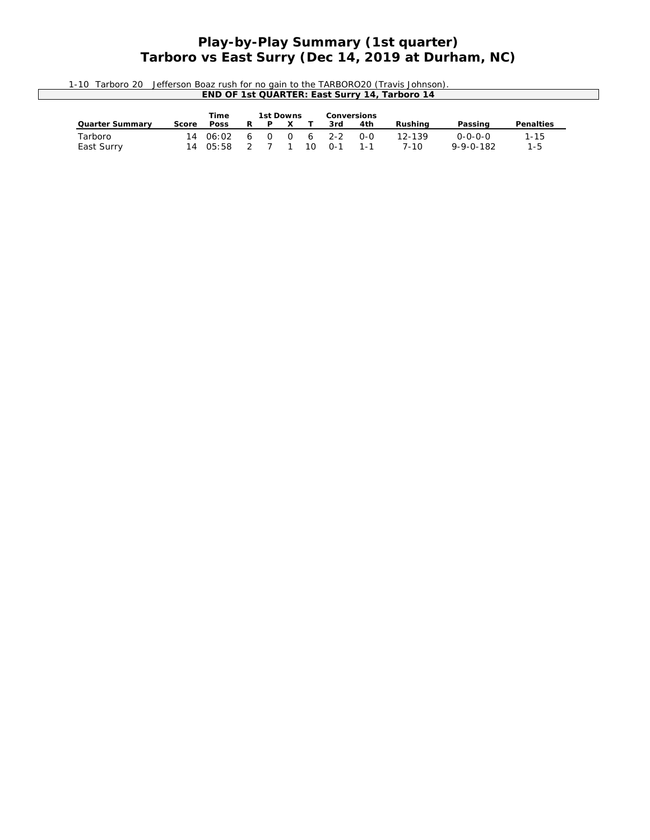## **Play-by-Play Summary (1st quarter) Tarboro vs East Surry (Dec 14, 2019 at Durham, NC)**

| 1-10 Tarboro 20 Jefferson Boaz rush for no gain to the TARBORO20 (Travis Johnson). |
|------------------------------------------------------------------------------------|
| END OF 1st QUARTER: East Surry 14, Tarboro 14                                      |
|                                                                                    |

|                       |       | Time                |     | 1st Downs  |          |     | Conversions      |       |                |                                      |                 |
|-----------------------|-------|---------------------|-----|------------|----------|-----|------------------|-------|----------------|--------------------------------------|-----------------|
| Quarter Summarv       | Score | Poss                | R   | P          | $\times$ |     | 3rd              | 4th   | Rushina        | Passing                              | Penalties       |
| Tarboro<br>East Surry |       | 1406:02<br>14 05:58 | - 6 | $\Omega$ 0 |          | 1 O | 6 2-2<br>$0 - 1$ | $O-O$ | 12-139<br>7-10 | $0 - 0 - 0 - 0$<br>$9 - 9 - 0 - 182$ | 1-15<br>$1 - 5$ |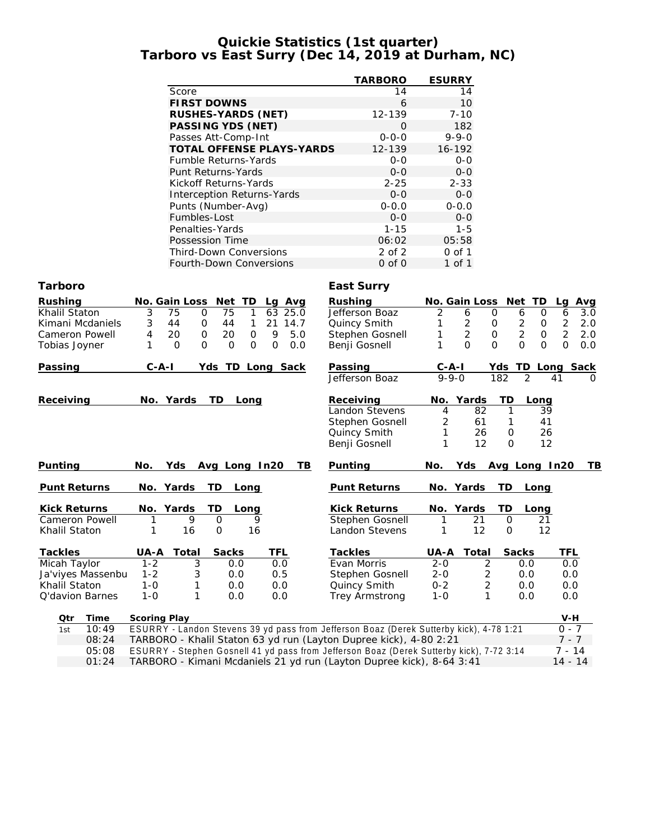#### **Quickie Statistics (1st quarter) Tarboro vs East Surry (Dec 14, 2019 at Durham, NC)**

|                                                                                                                                 | <b>TARBORO</b>              | <b>ESURRY</b>             |                                              |                       |
|---------------------------------------------------------------------------------------------------------------------------------|-----------------------------|---------------------------|----------------------------------------------|-----------------------|
| Score                                                                                                                           | 14                          | 14                        |                                              |                       |
| <b>FIRST DOWNS</b>                                                                                                              | 6                           | 10                        |                                              |                       |
| RUSHES-YARDS (NET)                                                                                                              | 12-139                      | $7 - 10$                  |                                              |                       |
| PASSING YDS (NET)                                                                                                               | 0                           | 182                       |                                              |                       |
| Passes Att-Comp-Int                                                                                                             | $0 - 0 - 0$                 | $9 - 9 - 0$               |                                              |                       |
| TOTAL OFFENSE PLAYS-YARDS                                                                                                       | 12-139                      | 16-192                    |                                              |                       |
| Fumble Returns-Yards                                                                                                            | $0 - 0$                     | $O-O$                     |                                              |                       |
| Punt Returns-Yards                                                                                                              | $0 - 0$                     | $0-0$                     |                                              |                       |
| Kickoff Returns-Yards                                                                                                           | $2 - 25$                    | $2 - 33$                  |                                              |                       |
| Interception Returns-Yards                                                                                                      | $0 - 0$                     | $O-O$                     |                                              |                       |
| Punts (Number-Avg)                                                                                                              | $0 - 0.0$                   | $0 - 0.0$                 |                                              |                       |
| Fumbles-Lost                                                                                                                    | $0 - 0$                     | $O-O$                     |                                              |                       |
| Penalties-Yards                                                                                                                 | $1 - 15$                    | $1 - 5$                   |                                              |                       |
| Possession Time                                                                                                                 | 06:02                       | 05:58                     |                                              |                       |
| Third-Down Conversions                                                                                                          | 2 of 2                      | $0$ of $1$                |                                              |                       |
| Fourth-Down Conversions                                                                                                         | $0$ of $0$                  | 1 of 1                    |                                              |                       |
| Tarboro                                                                                                                         | East Surry                  |                           |                                              |                       |
| Rushing<br>No. Gain Loss Net TD<br>Lg Avg                                                                                       | Rushing                     | No. Gain Loss Net TD      |                                              | Avg<br>La             |
| 3<br>75<br>Khalil Staton<br>75<br>$\mathbf 0$<br>1<br>63 25.0                                                                   | Jefferson Boaz              | 2<br>6                    | $\mathbf 0$<br>6<br>0                        | 6<br>3.0              |
| 3<br>44<br>Kimani Mcdaniels<br>0<br>44<br>$\mathbf{1}$<br>21 14.7                                                               | Quincy Smith                | $\overline{2}$<br>1       | $\overline{c}$<br>O<br>$\mathsf{O}$          | $\overline{2}$<br>2.0 |
| Cameron Powell<br>20<br>$\mathbf 0$<br>20<br>$\mathsf{O}\xspace$<br>9<br>5.0<br>4                                               | Stephen Gosnell             | $\overline{2}$<br>1       | $\overline{2}$<br>$\mathsf O$<br>$\mathbf 0$ | $\overline{2}$<br>2.0 |
| 1<br>$\overline{O}$<br>$\mathbf{O}$<br>$\overline{O}$<br>$\mathbf{O}$<br>$\mathbf 0$<br>0.0<br>Tobias Joyner                    | Benji Gosnell               | $\Omega$<br>1             | $\Omega$<br>$\Omega$<br>$\Omega$             | $\overline{O}$<br>0.0 |
| $C - A - I$<br>Passing<br>Yds TD Long Sack                                                                                      | Passing                     | $C-A-I$                   | <u>Yds TD Long Sack</u>                      |                       |
|                                                                                                                                 | Jefferson Boaz              | $\frac{6}{9-9-0}$         | $\overline{2}$<br>182                        | 41                    |
|                                                                                                                                 |                             |                           |                                              |                       |
| Receiving<br>No. Yards<br>TD.<br>Long                                                                                           | Receiving<br>Landon Stevens | Yards<br>No.<br>82<br>4   | TD<br>Long<br>39<br>1                        |                       |
|                                                                                                                                 | Stephen Gosnell             | 2<br>61                   | 41<br>1                                      |                       |
|                                                                                                                                 | Quincy Smith                | 1<br>26                   | 26<br>0                                      |                       |
|                                                                                                                                 | Benji Gosnell               | 1<br>12                   | $\mathbf{O}$<br>12                           |                       |
|                                                                                                                                 |                             |                           |                                              |                       |
| Punting<br>Yds Avg Long In20<br>TB<br>No.                                                                                       | Punting                     | Yds<br>No.                | Avg Long In20                                | T <sub>B</sub>        |
| Punt Returns<br>No. Yards<br>TD<br>Long                                                                                         | Punt Returns                | No. Yards                 | TD<br>Long                                   |                       |
| <b>Kick Returns</b><br>No. Yards<br>TD.<br>Long                                                                                 | Kick Returns                | No. Yards                 | TD<br>Long                                   |                       |
| 9<br>Cameron Powell<br>$\mathbf{O}$<br>9<br>1                                                                                   | Stephen Gosnell             | 21<br>1                   | 0<br>21                                      |                       |
| Khalil Staton<br>1<br>16<br>$\mathsf O$<br>16                                                                                   | Landon Stevens              | 12<br>1                   | 12<br>0                                      |                       |
| Tackles<br>UA-A<br>Total<br>Sacks<br>TFL                                                                                        | Tackles                     | UA-A<br>Total             | Sacks                                        | TFL                   |
| Micah Taylor<br>$1 - 2$<br>3<br>0.0<br>0.0                                                                                      | Evan Morris                 | $2 - 0$<br>2              | 0.0                                          | 0.0                   |
| $1 - 2$<br>3<br>Ja'viyes Massenbu<br>0.0<br>0.5                                                                                 | Stephen Gosnell             | $2 - 0$<br>2              | 0.0                                          | 0.0                   |
| Khalil Staton<br>$1 - 0$<br>1<br>0.0<br>0.0                                                                                     | Quincy Smith                | $0 - 2$<br>$\overline{c}$ | 0.0                                          | 0.0                   |
| $1 - 0$<br>1<br>Q'davion Barnes<br>0.0<br>0.0                                                                                   | Trey Armstrong              | $1 - 0$<br>1              | 0.0                                          | 0.0                   |
|                                                                                                                                 |                             |                           |                                              |                       |
| Scoring Play<br>Time<br>Qtr<br>ESURRY - Landon Stevens 39 yd pass from Jefferson Boaz (Derek Sutterby kick), 4-78 1:21<br>10:49 |                             |                           |                                              | V-H<br>$0 - 7$        |
| 1st<br>TARBORO - Khalil Staton 63 yd run (Layton Dupree kick), 4-80 2:21<br>08:24                                               |                             |                           |                                              | $7 - 7$               |
| 05:08<br>ESURRY - Stephen Gosnell 41 yd pass from Jefferson Boaz (Derek Sutterby kick), 7-72 3:14                               |                             |                           |                                              | $7 - 14$              |
| 01:24<br>TARBORO - Kimani Mcdaniels 21 yd run (Layton Dupree kick), 8-64 3:41                                                   |                             |                           |                                              | $14 - 14$             |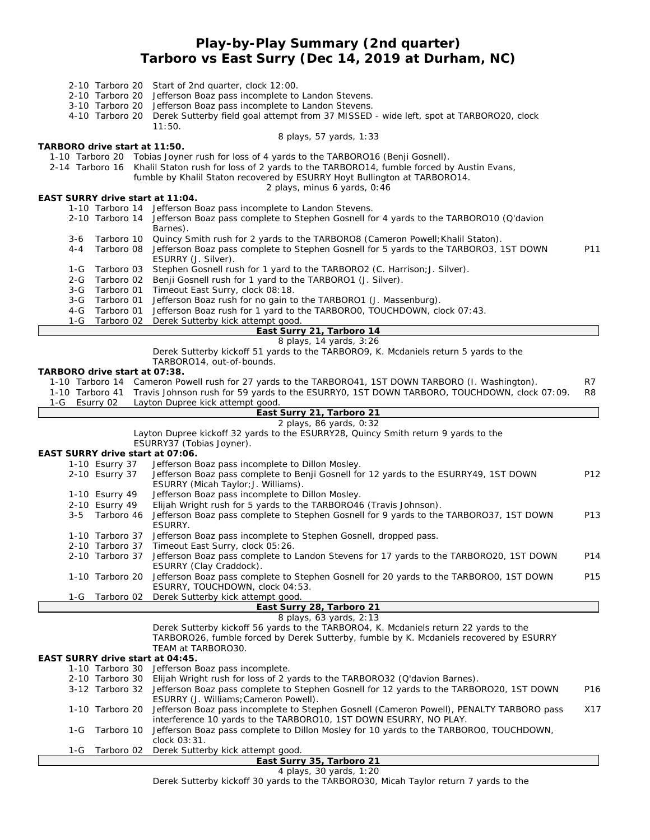## **Play-by-Play Summary (2nd quarter) Tarboro vs East Surry (Dec 14, 2019 at Durham, NC)**

|               |                                    | 2-10 Tarboro 20 Start of 2nd quarter, clock 12:00.                                                                                                                    |                 |
|---------------|------------------------------------|-----------------------------------------------------------------------------------------------------------------------------------------------------------------------|-----------------|
|               |                                    | 2-10 Tarboro 20 Jefferson Boaz pass incomplete to Landon Stevens.                                                                                                     |                 |
|               | 4-10 Tarboro 20                    | 3-10 Tarboro 20 Jefferson Boaz pass incomplete to Landon Stevens.<br>Derek Sutterby field goal attempt from 37 MISSED - wide left, spot at TARBORO20, clock           |                 |
|               |                                    | 11:50.                                                                                                                                                                |                 |
|               |                                    | 8 plays, 57 yards, 1:33                                                                                                                                               |                 |
|               | TARBORO drive start at 11:50.      |                                                                                                                                                                       |                 |
|               |                                    | 1-10 Tarboro 20 Tobias Joyner rush for loss of 4 yards to the TARBORO16 (Benji Gosnell).                                                                              |                 |
|               |                                    | 2-14 Tarboro 16 Khalil Staton rush for loss of 2 yards to the TARBORO14, fumble forced by Austin Evans,                                                               |                 |
|               |                                    | fumble by Khalil Staton recovered by ESURRY Hoyt Bullington at TARBORO14.<br>2 plays, minus 6 yards, 0:46                                                             |                 |
|               | EAST SURRY drive start at 11:04.   |                                                                                                                                                                       |                 |
|               |                                    | 1-10 Tarboro 14 Jefferson Boaz pass incomplete to Landon Stevens.                                                                                                     |                 |
|               |                                    | 2-10 Tarboro 14 Jefferson Boaz pass complete to Stephen Gosnell for 4 yards to the TARBORO10 (Q'davion                                                                |                 |
|               |                                    | Barnes).                                                                                                                                                              |                 |
| $3-6$         | Tarboro 10                         | Quincy Smith rush for 2 yards to the TARBORO8 (Cameron Powell; Khalil Staton).                                                                                        |                 |
| $4 - 4$       | Tarboro 08                         | Jefferson Boaz pass complete to Stephen Gosnell for 5 yards to the TARBORO3, 1ST DOWN                                                                                 | P11             |
| 1-G           | Tarboro 03                         | ESURRY (J. Silver).<br>Stephen Gosnell rush for 1 yard to the TARBORO2 (C. Harrison; J. Silver).                                                                      |                 |
| $2 - G$       | Tarboro 02                         | Benji Gosnell rush for 1 yard to the TARBORO1 (J. Silver).                                                                                                            |                 |
| $3-G$         | Tarboro 01                         | Timeout East Surry, clock 08:18.                                                                                                                                      |                 |
| $3-G$         | Tarboro 01                         | Jefferson Boaz rush for no gain to the TARBORO1 (J. Massenburg).                                                                                                      |                 |
| $4-G$         | Tarboro 01                         | Jefferson Boaz rush for 1 yard to the TARBOROO, TOUCHDOWN, clock 07:43.                                                                                               |                 |
| $1-G$         | Tarboro 02                         | Derek Sutterby kick attempt good.                                                                                                                                     |                 |
|               |                                    | East Surry 21, Tarboro 14                                                                                                                                             |                 |
|               |                                    | 8 plays, 14 yards, 3:26<br>Derek Sutterby kickoff 51 yards to the TARBORO9, K. Mcdaniels return 5 yards to the                                                        |                 |
|               |                                    | TARBORO14, out-of-bounds.                                                                                                                                             |                 |
|               | TARBORO drive start at 07:38.      |                                                                                                                                                                       |                 |
|               |                                    | 1-10 Tarboro 14 Cameron Powell rush for 27 yards to the TARBORO41, 1ST DOWN TARBORO (I. Washington).                                                                  | R7              |
|               |                                    | 1-10 Tarboro 41 Travis Johnson rush for 59 yards to the ESURRYO, 1ST DOWN TARBORO, TOUCHDOWN, clock 07:09.                                                            | R8              |
| 1-G Esurry 02 |                                    | Layton Dupree kick attempt good.                                                                                                                                      |                 |
|               |                                    | East Surry 21, Tarboro 21                                                                                                                                             |                 |
|               |                                    | 2 plays, 86 yards, 0:32<br>Layton Dupree kickoff 32 yards to the ESURRY28, Quincy Smith return 9 yards to the                                                         |                 |
|               |                                    | ESURRY37 (Tobias Joyner).                                                                                                                                             |                 |
|               | EAST SURRY drive start at 07:06.   |                                                                                                                                                                       |                 |
|               | 1-10 Esurry 37                     | Jefferson Boaz pass incomplete to Dillon Mosley.                                                                                                                      |                 |
|               | 2-10 Esurry 37                     | Jefferson Boaz pass complete to Benji Gosnell for 12 yards to the ESURRY49, 1ST DOWN                                                                                  | P12             |
|               |                                    | ESURRY (Micah Taylor; J. Williams).                                                                                                                                   |                 |
|               | 1-10 Esurry 49<br>2-10 Esurry 49   | Jefferson Boaz pass incomplete to Dillon Mosley.                                                                                                                      |                 |
|               | 3-5 Tarboro 46                     | Elijah Wright rush for 5 yards to the TARBORO46 (Travis Johnson).<br>Jefferson Boaz pass complete to Stephen Gosnell for 9 yards to the TARBORO37, 1ST DOWN           | P <sub>13</sub> |
|               |                                    | ESURRY.                                                                                                                                                               |                 |
|               | 1-10 Tarboro 37                    | Jefferson Boaz pass incomplete to Stephen Gosnell, dropped pass.                                                                                                      |                 |
|               | 2-10 Tarboro 37                    | Timeout East Surry, clock 05:26.                                                                                                                                      |                 |
|               |                                    | 2-10 Tarboro 37 Jefferson Boaz pass complete to Landon Stevens for 17 yards to the TARBORO20, 1ST DOWN                                                                | P14             |
|               |                                    | ESURRY (Clay Craddock).                                                                                                                                               |                 |
|               | 1-10 Tarboro 20                    | Jefferson Boaz pass complete to Stephen Gosnell for 20 yards to the TARBOROO, 1ST DOWN                                                                                | P <sub>15</sub> |
|               |                                    | ESURRY, TOUCHDOWN, clock 04:53.                                                                                                                                       |                 |
| 1-G           | Tarboro 02                         | Derek Sutterby kick attempt good.<br>East Surry 28, Tarboro 21                                                                                                        |                 |
|               |                                    | 8 plays, 63 yards, 2:13                                                                                                                                               |                 |
|               |                                    | Derek Sutterby kickoff 56 yards to the TARBORO4, K. Mcdaniels return 22 yards to the                                                                                  |                 |
|               |                                    | TARBORO26, fumble forced by Derek Sutterby, fumble by K. Mcdaniels recovered by ESURRY                                                                                |                 |
|               |                                    | TEAM at TARBORO30.                                                                                                                                                    |                 |
|               | EAST SURRY drive start at 04:45.   |                                                                                                                                                                       |                 |
|               | 1-10 Tarboro 30                    | Jefferson Boaz pass incomplete.                                                                                                                                       |                 |
|               | 2-10 Tarboro 30<br>3-12 Tarboro 32 | Elijah Wright rush for loss of 2 yards to the TARBORO32 (Q'davion Barnes).<br>Jefferson Boaz pass complete to Stephen Gosnell for 12 yards to the TARBORO20, 1ST DOWN | P <sub>16</sub> |
|               |                                    | ESURRY (J. Williams; Cameron Powell).                                                                                                                                 |                 |
|               | 1-10 Tarboro 20                    | Jefferson Boaz pass incomplete to Stephen Gosnell (Cameron Powell), PENALTY TARBORO pass                                                                              | X17             |
|               |                                    | interference 10 yards to the TARBORO10, 1ST DOWN ESURRY, NO PLAY.                                                                                                     |                 |
| 1-G           | Tarboro 10                         | Jefferson Boaz pass complete to Dillon Mosley for 10 yards to the TARBOROO, TOUCHDOWN,                                                                                |                 |
|               |                                    | clock 03:31.                                                                                                                                                          |                 |
| 1-G           | Tarboro 02                         | Derek Sutterby kick attempt good.                                                                                                                                     |                 |
|               |                                    | East Surry 35, Tarboro 21                                                                                                                                             |                 |
|               |                                    | 4 plays, 30 yards, 1:20                                                                                                                                               |                 |

Derek Sutterby kickoff 30 yards to the TARBORO30, Micah Taylor return 7 yards to the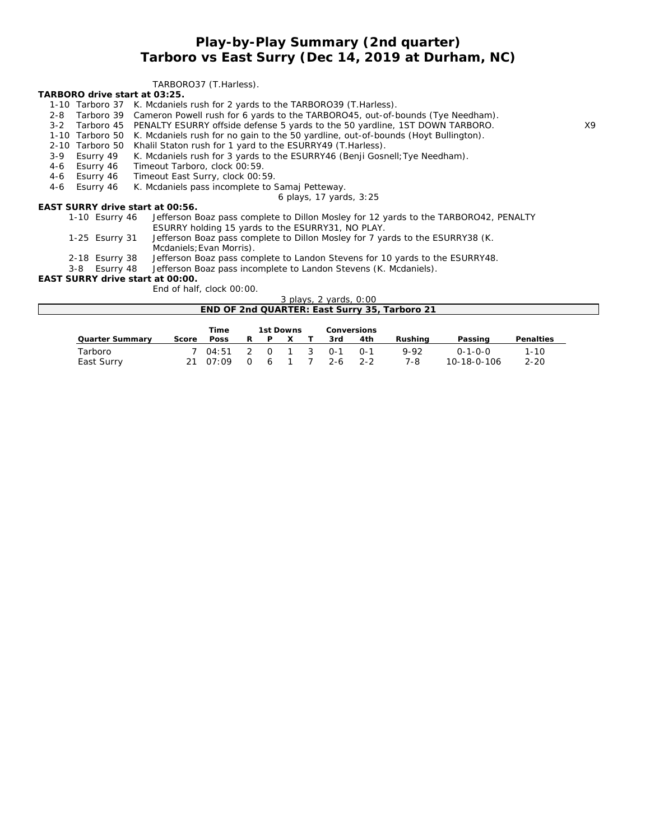### **Play-by-Play Summary (2nd quarter) Tarboro vs East Surry (Dec 14, 2019 at Durham, NC)**

#### TARBORO37 (T.Harless).

**TARBORO drive start at 03:25.**

- 1-10 Tarboro 37 K. Mcdaniels rush for 2 yards to the TARBORO39 (T.Harless).
- 2-8 Tarboro 39 Cameron Powell rush for 6 yards to the TARBORO45, out-of-bounds (Tye Needham).
- 3-2 Tarboro 45 PENALTY ESURRY offside defense 5 yards to the 50 yardline, 1ST DOWN TARBORO. X9
- 1-10 Tarboro 50 K. Mcdaniels rush for no gain to the 50 yardline, out-of-bounds (Hoyt Bullington).
- 2-10 Tarboro 50 Khalil Staton rush for 1 yard to the ESURRY49 (T.Harless).
- 3-9 Esurry 49 K. Mcdaniels rush for 3 yards to the ESURRY46 (Benji Gosnell;Tye Needham).
- 4-6 Esurry 46 Timeout Tarboro, clock 00:59.
- 4-6 Esurry 46 Timeout East Surry, clock 00:59.
- 4-6 Esurry 46 K. Mcdaniels pass incomplete to Samaj Petteway.

#### *6 plays, 17 yards, 3:25*

**EAST SURRY drive start at 00:56.**

- 1-10 Esurry 46 Jefferson Boaz pass complete to Dillon Mosley for 12 yards to the TARBORO42, PENALTY ESURRY holding 15 yards to the ESURRY31, NO PLAY.
	- 1-25 Esurry 31 Jefferson Boaz pass complete to Dillon Mosley for 7 yards to the ESURRY38 (K. Mcdaniels;Evan Morris).
	- 2-18 Esurry 38 Jefferson Boaz pass complete to Landon Stevens for 10 yards to the ESURRY48.<br>3-8 Esurry 48 Jefferson Boaz pass incomplete to Landon Stevens (K. Mcdaniels).
	- Jefferson Boaz pass incomplete to Landon Stevens (K. Mcdaniels).

**EAST SURRY drive start at 00:00.**

End of half, clock 00:00.

*3 plays, 2 yards, 0:00*

|         |           | END OF 2nd QUARTER: East Surry 35, Tarboro 21 |  |
|---------|-----------|-----------------------------------------------|--|
|         |           |                                               |  |
| $T$ ime | 1st Downs | Conversions                                   |  |

|                       |       | .                                                   | ISL DUWIIS |  |      | GI INGI SIDI IS |             |                                |                      |
|-----------------------|-------|-----------------------------------------------------|------------|--|------|-----------------|-------------|--------------------------------|----------------------|
| Quarter Summary       | Score | Poss                                                | R P X      |  | -3rd | 4th             | Rushina     | Passing                        | Penalties            |
| Tarboro<br>East Surry |       | 7 04:51 2 0 1 3 0-1 0-1<br>21 07:09 0 6 1 7 2-6 2-2 |            |  |      |                 | 9-92<br>7-8 | $0 - 1 - 0 - 0$<br>10-18-0-106 | $1 - 10$<br>$2 - 20$ |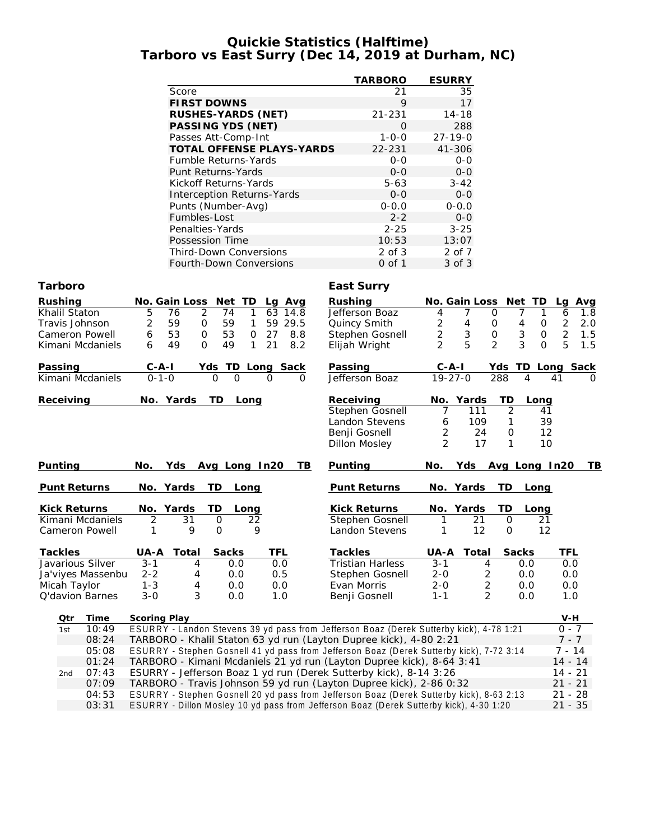#### **Quickie Statistics (Halftime) Tarboro vs East Surry (Dec 14, 2019 at Durham, NC)**

|                                  | TARBORO     | <b>ESURRY</b> |
|----------------------------------|-------------|---------------|
| Score                            | 21          | 35            |
| <b>FIRST DOWNS</b>               | 9           | 17            |
| RUSHES-YARDS (NET)               | $21 - 231$  | $14 - 18$     |
| PASSING YDS (NET)                | ∩           | 288           |
| Passes Att-Comp-Int              | $1 - 0 - 0$ | $27 - 19 - 0$ |
| <b>TOTAL OFFENSE PLAYS-YARDS</b> | 22-231      | 41-306        |
| <b>Fumble Returns-Yards</b>      | $O-O$       | $O - O$       |
| Punt Returns-Yards               | $0 - 0$     | $0 - 0$       |
| Kickoff Returns-Yards            | $5 - 63$    | $3 - 42$      |
| Interception Returns-Yards       | $0 - 0$     | $0 - 0$       |
| Punts (Number-Avg)               | $0 - 0.0$   | $0 - 0.0$     |
| Fumbles-Lost                     | $2 - 2$     | $0 - 0$       |
| Penalties-Yards                  | $2 - 25$    | $3 - 25$      |
| Possession Time                  | 10:53       | 13:07         |
| <b>Third-Down Conversions</b>    | 2 of 3      | 2 of 7        |
| Fourth-Down Conversions          | 0 of 1      | 3 of 3        |

#### **Tarboro East Surry**

| Rushing                | No. Gain Loss<br>Net TD<br>La Ava                                                        | Rushing                    | No. Gain Loss                         | Net TD                   | Avg<br>La             |
|------------------------|------------------------------------------------------------------------------------------|----------------------------|---------------------------------------|--------------------------|-----------------------|
| Khalil Staton          | 2<br>5<br>76<br>74<br>63<br>1<br>14.8                                                    | Jefferson Boaz             | $\mathbf 0$<br>4<br>7                 | 7<br>1                   | 1.8<br>6              |
| Travis Johnson         | 2<br>59<br>$\mathbf 0$<br>59<br>29.5<br>1<br>59                                          | Quincy Smith               | $\overline{\mathbf{c}}$<br>4<br>0     | 4<br>0                   | $\overline{2}$<br>2.0 |
| Cameron Powell         | 53<br>$\mathbf 0$<br>53<br>6<br>27<br>8.8<br>0                                           | Stephen Gosnell            | $\overline{c}$<br>3<br>$\mathsf O$    | 3<br>$\mathsf{O}\xspace$ | $\overline{2}$<br>1.5 |
| Kimani Mcdaniels       | 49<br>49<br>21<br>8.2<br>6<br>O<br>1                                                     | Elijah Wright              | 5<br>$\overline{2}$<br>$\overline{2}$ | 3<br>$\Omega$            | 5<br>1.5              |
| Passing                | $C - A - I$<br>Yds TD Long Sack                                                          | Passing                    | $C-A-I$                               | Yds                      | TD Long Sack          |
| Kimani Mcdaniels       | $0 - 1 - 0$<br>$\Omega$<br>$\Omega$<br>$\Omega$                                          | Jefferson Boaz<br>$\Omega$ | $19 - 27 - 0$                         | 288<br>4                 | 41<br>$\Omega$        |
| Receiving              | No. Yards<br>TD<br>Long                                                                  | Receiving                  | Yards<br>No.                          | TD<br>Long               |                       |
|                        |                                                                                          | Stephen Gosnell            | 111<br>7                              | 2<br>41                  |                       |
|                        |                                                                                          | <b>Landon Stevens</b>      | 109<br>6                              | 1                        | 39                    |
|                        |                                                                                          | Benji Gosnell              | 2<br>24                               | 0                        | 12                    |
|                        |                                                                                          | <b>Dillon Mosley</b>       | $\overline{2}$<br>17                  | 1                        | 10                    |
| Punting                | No.<br>Yds<br>Avg Long In20                                                              | Punting<br>TВ              | No.<br>Yds                            | Avg Long In20            | TВ                    |
| Punt Returns           | No. Yards<br>TD<br>Long                                                                  | Punt Returns               | No. Yards                             | TD<br>Long               |                       |
| <b>Kick Returns</b>    | Yards<br>TD<br>No.<br>Long                                                               | <b>Kick Returns</b>        | Yards<br>No.                          | <b>TD</b><br>Long        |                       |
| Kimani Mcdaniels       | 2<br>$\mathsf{O}$<br>31<br>22                                                            | Stephen Gosnell            | 21<br>1                               | $\Omega$<br>21           |                       |
| Cameron Powell         | 9<br>9<br>$\Omega$<br>1                                                                  | Landon Stevens             | 12<br>1                               | 12<br>$\mathcal{O}$      |                       |
| Tackles                | Total<br>Sacks<br><b>TFL</b><br>UA-A                                                     | Tackles                    | UA-A<br>Total                         | Sacks                    | TFL                   |
| Javarious Silver       | $3 - 1$<br>0.0<br>0.0<br>4                                                               | <b>Tristian Harless</b>    | $3 - 1$<br>4                          | 0.0                      | 0.0                   |
| Ja'viyes Massenbu      | $2 - 2$<br>0.5<br>0.0<br>4                                                               | Stephen Gosnell            | $2 - 0$<br>2                          | 0.0                      | 0.0                   |
| Micah Taylor           | $1 - 3$<br>4<br>0.0<br>0.0                                                               | Evan Morris                | $\overline{c}$<br>$2 - 0$             | 0.0                      | 0.0                   |
| <b>Q'davion Barnes</b> | 3<br>$3 - 0$<br>0.0<br>1.0                                                               | Benji Gosnell              | $\overline{2}$<br>$1 - 1$             | 0.0                      | 1.0                   |
| Time<br>Qtr            | Scoring Play                                                                             |                            |                                       |                          | $V-H$                 |
| 10:49<br>1st           | ESURRY - Landon Stevens 39 yd pass from Jefferson Boaz (Derek Sutterby kick), 4-78 1:21  |                            |                                       |                          | $0 - 7$               |
| 08:24                  | TARBORO - Khalil Staton 63 yd run (Layton Dupree kick), 4-80 2:21                        |                            |                                       |                          | $7 - 7$               |
| 05:08                  | ESURRY - Stephen Gosnell 41 yd pass from Jefferson Boaz (Derek Sutterby kick), 7-72 3:14 |                            |                                       |                          | $7 - 14$              |
| 01:24                  | TARBORO - Kimani Mcdaniels 21 yd run (Layton Dupree kick), 8-64 3:41                     |                            |                                       |                          | $14 - 14$             |
| 07:43<br>2nd           | ESURRY - Jefferson Boaz 1 yd run (Derek Sutterby kick), 8-14 3:26                        |                            |                                       |                          | $14 - 21$             |

07:09 TARBORO - Travis Johnson 59 yd run (Layton Dupree kick), 2-86 0:32 21 - 21 04:53 ESURRY - Stephen Gosnell 20 yd pass from Jefferson Boaz (Derek Sutterby kick), 8-63 2:13 21 - 28 03:31 ESURRY - Dillon Mosley 10 yd pass from Jefferson Boaz (Derek Sutterby kick), 4-30 1:20 21 - 35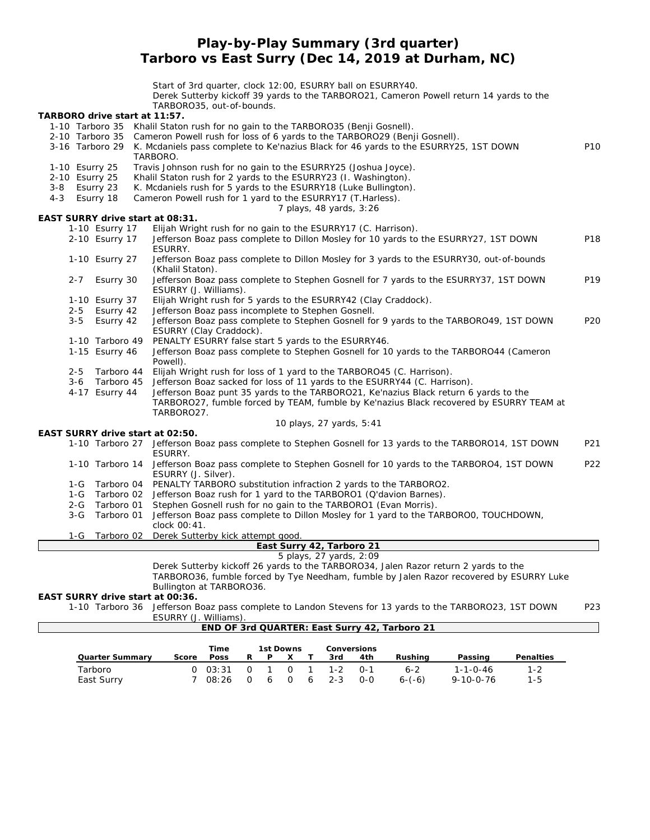**Play-by-Play Summary (3rd quarter) Tarboro vs East Surry (Dec 14, 2019 at Durham, NC)**

Start of 3rd quarter, clock 12:00, ESURRY ball on ESURRY40. Derek Sutterby kickoff 39 yards to the TARBORO21, Cameron Powell return 14 yards to the TARBORO35, out-of-bounds. **TARBORO drive start at 11:57.** 1-10 Tarboro 35 Khalil Staton rush for no gain to the TARBORO35 (Benji Gosnell). 2-10 Tarboro 35 Cameron Powell rush for loss of 6 yards to the TARBORO29 (Benji Gosnell). 3-16 Tarboro 29 K. Mcdaniels pass complete to Ke'nazius Black for 46 yards to the ESURRY25, 1ST DOWN P10 TARBORO. 1-10 Esurry 25 Travis Johnson rush for no gain to the ESURRY25 (Joshua Joyce).<br>2-10 Esurry 25 Khalil Staton rush for 2 yards to the ESURRY23 (I. Washington). Khalil Staton rush for 2 yards to the ESURRY23 (I. Washington). 3-8 Esurry 23 K. Mcdaniels rush for 5 yards to the ESURRY18 (Luke Bullington). 4-3 Esurry 18 Cameron Powell rush for 1 yard to the ESURRY17 (T.Harless). *7 plays, 48 yards, 3:26* **EAST SURRY drive start at 08:31.** 1-10 Esurry 17 Elijah Wright rush for no gain to the ESURRY17 (C. Harrison). 2-10 Esurry 17 Jefferson Boaz pass complete to Dillon Mosley for 10 yards to the ESURRY27, 1ST DOWN P18 ESURRY. 1-10 Esurry 27 Jefferson Boaz pass complete to Dillon Mosley for 3 yards to the ESURRY30, out-of-bounds (Khalil Staton). 2-7 Esurry 30 Jefferson Boaz pass complete to Stephen Gosnell for 7 yards to the ESURRY37, 1ST DOWN P19 ESURRY (J. Williams). 1-10 Esurry 37 Elijah Wright rush for 5 yards to the ESURRY42 (Clay Craddock). 2-5 Esurry 42 Jefferson Boaz pass incomplete to Stephen Gosnell. 3-5 Esurry 42 Jefferson Boaz pass complete to Stephen Gosnell for 9 yards to the TARBORO49, 1ST DOWN P20 ESURRY (Clay Craddock). 1-10 Tarboro 49 PENALTY ESURRY false start 5 yards to the ESURRY46. 1-15 Esurry 46 Jefferson Boaz pass complete to Stephen Gosnell for 10 yards to the TARBORO44 (Cameron Powell). 2-5 Tarboro 44 Elijah Wright rush for loss of 1 yard to the TARBORO45 (C. Harrison). 3-6 Tarboro 45 Jefferson Boaz sacked for loss of 11 yards to the ESURRY44 (C. Harrison). 4-17 Esurry 44 Jefferson Boaz punt 35 yards to the TARBORO21, Ke'nazius Black return 6 yards to the TARBORO27, fumble forced by TEAM, fumble by Ke'nazius Black recovered by ESURRY TEAM at TARBORO27. *10 plays, 27 yards, 5:41* **EAST SURRY drive start at 02:50.** 1-10 Tarboro 27 Jefferson Boaz pass complete to Stephen Gosnell for 13 yards to the TARBORO14, 1ST DOWN P21 ESURRY. 1-10 Tarboro 14 Jefferson Boaz pass complete to Stephen Gosnell for 10 yards to the TARBORO4, 1ST DOWN P22 ESURRY (J. Silver). 1-G Tarboro 04 PENALTY TARBORO substitution infraction 2 yards to the TARBORO2. 1-G Tarboro 02 Jefferson Boaz rush for 1 yard to the TARBORO1 (Q'davion Barnes). 2-G Tarboro 01 Stephen Gosnell rush for no gain to the TARBORO1 (Evan Morris). 3-G Tarboro 01 Jefferson Boaz pass complete to Dillon Mosley for 1 yard to the TARBORO0, TOUCHDOWN, clock 00:41. 1-G Tarboro 02 Derek Sutterby kick attempt good. **East Surry 42, Tarboro 21** *5 plays, 27 yards, 2:09* Derek Sutterby kickoff 26 yards to the TARBORO34, Jalen Razor return 2 yards to the TARBORO36, fumble forced by Tye Needham, fumble by Jalen Razor recovered by ESURRY Luke Bullington at TARBORO36. **EAST SURRY drive start at 00:36.** 1-10 Tarboro 36 Jefferson Boaz pass complete to Landon Stevens for 13 yards to the TARBORO23, 1ST DOWN P23 ESURRY (J. Williams). **END OF 3rd QUARTER: East Surry 42, Tarboro 21 Time 1st Downs Conversions Quarter Summary Score Poss R P X T 3rd 4th Rushing Passing Penalties**

Tarboro 0 03:31 0 1 0 1 1-2 0-1 6-2 1-1-0-46 1-2 East Surry 7 08:26 0 6 0 6 2-3 0-0 6-(-6) 9-10-0-76 1-5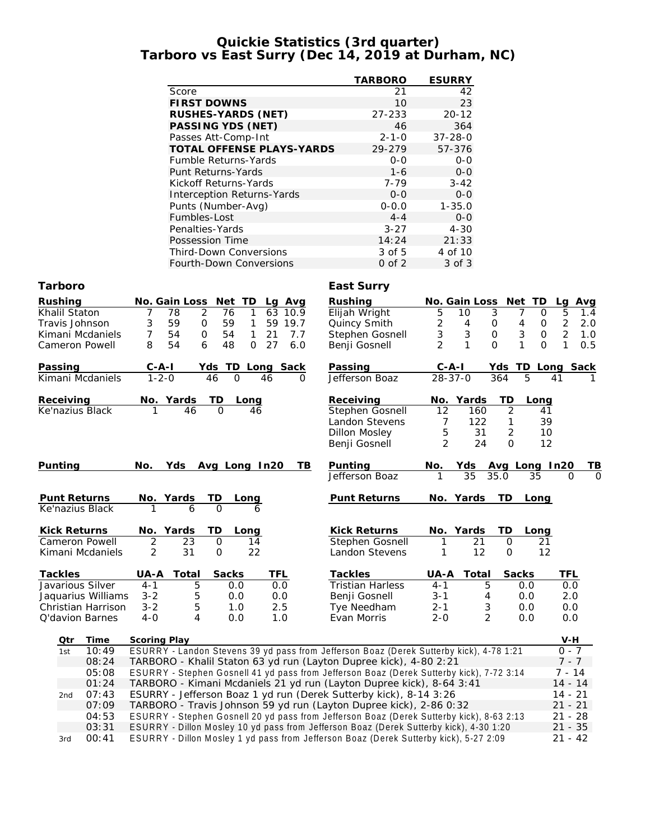#### **Quickie Statistics (3rd quarter) Tarboro vs East Surry (Dec 14, 2019 at Durham, NC)**

|                                  | <b>TARBORO</b> | <b>ESURRY</b> |
|----------------------------------|----------------|---------------|
| Score                            | 21             | 42            |
| <b>FIRST DOWNS</b>               | 10             | 23            |
| RUSHES-YARDS (NET)               | 27-233         | $20 - 12$     |
| PASSING YDS (NET)                | 46             | 364           |
| Passes Att-Comp-Int              | $2 - 1 - 0$    | $37 - 28 - 0$ |
| <b>TOTAL OFFENSE PLAYS-YARDS</b> | 29-279         | 57-376        |
| <b>Fumble Returns-Yards</b>      | $0 - 0$        | $O-O$         |
| Punt Returns-Yards               | $1 - 6$        | $0 - 0$       |
| Kickoff Returns-Yards            | $7 - 79$       | $3 - 42$      |
| Interception Returns-Yards       | $0 - 0$        | $0 - 0$       |
| Punts (Number-Avg)               | $0 - 0.0$      | $1 - 35.0$    |
| Fumbles-Lost                     | $4 - 4$        | $0 - 0$       |
| Penalties-Yards                  | $3 - 27$       | $4 - 30$      |
| Possession Time                  | 14:24          | 21:33         |
| <b>Third-Down Conversions</b>    | 3 of 5         | 4 of 10       |
| Fourth-Down Conversions          | $0$ of $2$     | $3$ of $3$    |

### **Tarboro East Surry**

| Rushing<br>Khalil Staton<br>Travis Johnson<br>Kimani Mcdaniels<br><b>Cameron Powell</b> | No. Gain Loss<br>78<br>3<br>59<br>54<br>7<br>54<br>8 | Net<br><b>TD</b><br>$\overline{2}$<br>76<br>$\mathbf{1}$<br>$\mathbf 0$<br>59<br>1<br>54<br>$\mathcal{O}$<br>1<br>48<br>6<br>$\overline{O}$ | Lg Avg<br>63<br>10.9<br>59<br>19.7<br>7.7<br>21<br>27<br>6.0 | Rushing<br>Elijah Wright<br>Quincy Smith<br>Stephen Gosnell<br>Benji Gosnell                   | 5<br>2<br>3<br>$\overline{2}$               | No. Gain Loss<br>10<br>4<br>3<br>1  | Net TD<br>$\mathfrak{Z}$<br>$\Omega$<br>7<br>0<br>4<br>O<br>3<br>$\overline{O}$<br>$\mathbf 0$<br>1<br>0<br>$\Omega$ | La<br>5<br>$\overline{2}$<br>$\overline{2}$<br>$\mathbf{1}$ | Avg<br>1.4<br>2.0<br>1.0<br>0.5 |
|-----------------------------------------------------------------------------------------|------------------------------------------------------|---------------------------------------------------------------------------------------------------------------------------------------------|--------------------------------------------------------------|------------------------------------------------------------------------------------------------|---------------------------------------------|-------------------------------------|----------------------------------------------------------------------------------------------------------------------|-------------------------------------------------------------|---------------------------------|
| Passing                                                                                 | $C - A - I$                                          | TD.<br>Yds                                                                                                                                  | Long Sack                                                    | Passing                                                                                        | $C - A - I$                                 |                                     | TD.<br>Yds                                                                                                           | Long Sack                                                   |                                 |
| Kimani Mcdaniels                                                                        | $1 - 2 - 0$                                          | 46<br>$\Omega$                                                                                                                              | 46<br>$\Omega$                                               | Jefferson Boaz                                                                                 | $28 - 37 - 0$                               |                                     | 5<br>364                                                                                                             | 41                                                          |                                 |
| Receiving<br>Ke'nazius Black                                                            | No. Yards<br>46                                      | TD<br>Long<br>$\Omega$                                                                                                                      | 46                                                           | Receiving<br>Stephen Gosnell<br><b>Landon Stevens</b><br><b>Dillon Mosley</b><br>Benji Gosnell | $\overline{12}$<br>7<br>5<br>$\overline{2}$ | No. Yards<br>160<br>122<br>31<br>24 | TD<br>Long<br>$\overline{2}$<br>2<br>$\Omega$                                                                        | 41<br>39<br>10<br>12                                        |                                 |
| Punting                                                                                 | No.<br>Yds                                           | Avg Long In20                                                                                                                               | TB                                                           | Punting<br>Jefferson Boaz                                                                      | No.<br>1                                    | Yds<br>35                           | Avg Long In20<br>35.0<br>35                                                                                          | $\Omega$                                                    | TВ<br>O                         |
| <b>Punt Returns</b><br>Ke'nazius Black                                                  | No.<br>Yards<br>6                                    | TD<br>Long<br>$\Omega$                                                                                                                      | 6                                                            | <b>Punt Returns</b>                                                                            | No.                                         | Yards                               | <b>TD</b><br>Long                                                                                                    |                                                             |                                 |
| <b>Kick Returns</b>                                                                     | Yards<br>No.                                         | TD<br>Long                                                                                                                                  |                                                              | Kick Returns                                                                                   | No.                                         | Yards                               | TD<br>Long                                                                                                           |                                                             |                                 |
| Cameron Powell                                                                          | $\overline{2}$<br>23                                 | $\mathsf O$<br>14                                                                                                                           |                                                              | Stephen Gosnell                                                                                |                                             | 21                                  | $\mathbf 0$<br>21                                                                                                    |                                                             |                                 |
| Kimani Mcdaniels                                                                        | 31<br>2                                              | 22<br>$\Omega$                                                                                                                              |                                                              | Landon Stevens                                                                                 |                                             | 12                                  | $\Omega$                                                                                                             | 12                                                          |                                 |
| Tackles                                                                                 | Total<br>UA-A                                        | Sacks                                                                                                                                       | TFL                                                          | Tackles                                                                                        | UA-A                                        | Total                               | Sacks                                                                                                                | TFL                                                         |                                 |
| Javarious Silver                                                                        | $4 - 1$                                              | $\overline{5}$<br>0.0                                                                                                                       | 0.0                                                          | <b>Tristian Harless</b>                                                                        | $4 - 1$                                     | 5                                   | 0.0                                                                                                                  | 0.0                                                         |                                 |
| Jaquarius Williams                                                                      | $3 - 2$                                              | 5<br>0.0                                                                                                                                    | 0.0                                                          | Benji Gosnell                                                                                  | $3 - 1$                                     | 4                                   | 0.0                                                                                                                  | 2.0                                                         |                                 |
| Christian Harrison                                                                      | $3 - 2$                                              | 5<br>1.0                                                                                                                                    | 2.5                                                          | Tye Needham                                                                                    | $2 - 1$                                     | 3                                   | 0.0                                                                                                                  | 0.0                                                         |                                 |
| Q'davion Barnes                                                                         | $4 - 0$                                              | 4<br>0.0                                                                                                                                    | 1.0                                                          | Evan Morris                                                                                    | $2 - 0$                                     | $\overline{2}$                      | 0.0                                                                                                                  | 0.0                                                         |                                 |
| Time<br>Qtr                                                                             | Scoring Play                                         |                                                                                                                                             |                                                              |                                                                                                |                                             |                                     |                                                                                                                      | $V-H$                                                       |                                 |
| 10:49<br>1st                                                                            |                                                      |                                                                                                                                             |                                                              | ESURRY - Landon Stevens 39 yd pass from Jefferson Boaz (Derek Sutterby kick), 4-78 1:21        |                                             |                                     |                                                                                                                      | $0 - 7$                                                     |                                 |
|                                                                                         |                                                      |                                                                                                                                             |                                                              |                                                                                                |                                             |                                     |                                                                                                                      |                                                             |                                 |

| 1st | 1():49 | ESURRY - Landon Stevens 39 yd pass from Jefferson Boaz (Derek Sutterby kick), 4-78 1:21  | $() - /$  |
|-----|--------|------------------------------------------------------------------------------------------|-----------|
|     | 08:24  | TARBORO - Khalil Staton 63 yd run (Layton Dupree kick), 4-80 2:21                        | 7 - 7     |
|     | 05:08  | ESURRY - Stephen Gosnell 41 yd pass from Jefferson Boaz (Derek Sutterby kick), 7-72 3:14 | $7 - 14$  |
|     | 01:24  | TARBORO - Kimani Mcdaniels 21 yd run (Layton Dupree kick), 8-64 3:41                     | $14 - 14$ |
| 2nd | 07:43  | ESURRY - Jefferson Boaz 1 yd run (Derek Sutterby kick), 8-14 3:26                        | $14 - 21$ |
|     | 07:09  | TARBORO - Travis Johnson 59 yd run (Layton Dupree kick), 2-86 0:32                       | $21 - 21$ |
|     | 04:53  | ESURRY - Stephen Gosnell 20 yd pass from Jefferson Boaz (Derek Sutterby kick), 8-63 2:13 | $21 - 28$ |
|     | 03:31  | ESURRY - Dillon Mosley 10 yd pass from Jefferson Boaz (Derek Sutterby kick), 4-30 1:20   | $21 - 35$ |
| 3rd | 00:41  | ESURRY - Dillon Mosley 1 yd pass from Jefferson Boaz (Derek Sutterby kick), 5-27 2:09    | $21 - 42$ |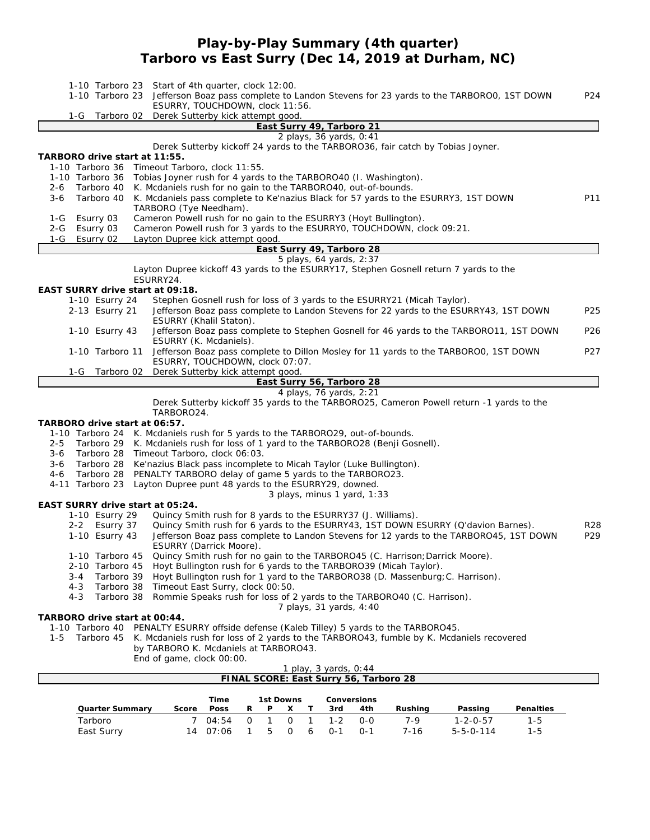### **Play-by-Play Summary (4th quarter) Tarboro vs East Surry (Dec 14, 2019 at Durham, NC)**

| Start of 4th quarter, clock 12:00.<br>1-10 Tarboro 23<br>Jefferson Boaz pass complete to Landon Stevens for 23 yards to the TARBOROO, 1ST DOWN<br>1-10 Tarboro 23<br>ESURRY, TOUCHDOWN, clock 11:56.  | P24              |
|-------------------------------------------------------------------------------------------------------------------------------------------------------------------------------------------------------|------------------|
| Derek Sutterby kick attempt good.<br>1-G<br>Tarboro 02<br>East Surry 49, Tarboro 21                                                                                                                   |                  |
| 2 plays, 36 yards, 0:41                                                                                                                                                                               |                  |
| Derek Sutterby kickoff 24 yards to the TARBORO36, fair catch by Tobias Joyner.<br>TARBORO drive start at 11:55.<br>Timeout Tarboro, clock 11:55.<br>1-10 Tarboro 36                                   |                  |
| 1-10 Tarboro 36 Tobias Joyner rush for 4 yards to the TARBORO40 (I. Washington).                                                                                                                      |                  |
| Tarboro 40<br>K. Mcdaniels rush for no gain to the TARBORO40, out-of-bounds.<br>$2 - 6$                                                                                                               |                  |
| Tarboro 40<br>K. Mcdaniels pass complete to Ke'nazius Black for 57 yards to the ESURRY3, 1ST DOWN<br>3-6<br>TARBORO (Tye Needham).                                                                    | P11              |
| Esurry 03<br>Cameron Powell rush for no gain to the ESURRY3 (Hoyt Bullington).<br>1-G                                                                                                                 |                  |
| Cameron Powell rush for 3 yards to the ESURRYO, TOUCHDOWN, clock 09:21.<br>Esurry 03<br>2-G<br>Esurry 02<br>Layton Dupree kick attempt good.<br>1-G                                                   |                  |
| East Surry 49, Tarboro 28                                                                                                                                                                             |                  |
| 5 plays, 64 yards, 2:37                                                                                                                                                                               |                  |
| Layton Dupree kickoff 43 yards to the ESURRY17, Stephen Gosnell return 7 yards to the<br>ESURRY24.                                                                                                    |                  |
| EAST SURRY drive start at 09:18.                                                                                                                                                                      |                  |
| 1-10 Esurry 24<br>Stephen Gosnell rush for loss of 3 yards to the ESURRY21 (Micah Taylor).<br>2-13 Esurry 21<br>Jefferson Boaz pass complete to Landon Stevens for 22 yards to the ESURRY43, 1ST DOWN | P <sub>25</sub>  |
| ESURRY (Khalil Staton).<br>Jefferson Boaz pass complete to Stephen Gosnell for 46 yards to the TARBORO11, 1ST DOWN<br>1-10 Esurry 43<br>ESURRY (K. Mcdaniels).                                        | P <sub>26</sub>  |
| Jefferson Boaz pass complete to Dillon Mosley for 11 yards to the TARBOROO, 1ST DOWN<br>1-10 Tarboro 11<br>ESURRY, TOUCHDOWN, clock 07:07.                                                            | P <sub>2</sub> 7 |
| Derek Sutterby kick attempt good.<br>1-G<br>Tarboro 02                                                                                                                                                |                  |
| East Surry 56, Tarboro 28                                                                                                                                                                             |                  |
| 4 plays, 76 yards, 2:21                                                                                                                                                                               |                  |
| Derek Sutterby kickoff 35 yards to the TARBORO25, Cameron Powell return -1 yards to the<br>TARBORO24.                                                                                                 |                  |
| TARBORO drive start at 06:57.                                                                                                                                                                         |                  |
| 1-10 Tarboro 24 K. Mcdaniels rush for 5 yards to the TARBORO29, out-of-bounds.                                                                                                                        |                  |
| Tarboro 29 K. Mcdaniels rush for loss of 1 yard to the TARBORO28 (Benji Gosnell).<br>$2 - 5$                                                                                                          |                  |
| Tarboro 28 Timeout Tarboro, clock 06:03.<br>3-6<br>Tarboro 28 Ke'nazius Black pass incomplete to Micah Taylor (Luke Bullington).<br>3-6                                                               |                  |
| Tarboro 28<br>PENALTY TARBORO delay of game 5 yards to the TARBORO23.<br>4-6                                                                                                                          |                  |
| 4-11 Tarboro 23<br>Layton Dupree punt 48 yards to the ESURRY29, downed.                                                                                                                               |                  |
| 3 plays, minus 1 yard, 1:33                                                                                                                                                                           |                  |
| EAST SURRY drive start at 05:24.<br>1-10 Esurry 29<br>Quincy Smith rush for 8 yards to the ESURRY37 (J. Williams).                                                                                    |                  |
| Quincy Smith rush for 6 yards to the ESURRY43, 1ST DOWN ESURRY (Q'davion Barnes).<br>2-2 Esurry 37                                                                                                    | R28              |
| 1-10 Esurry 43<br>Jefferson Boaz pass complete to Landon Stevens for 12 yards to the TARBORO45, 1ST DOWN<br>ESURRY (Darrick Moore).                                                                   | P <sub>29</sub>  |
| Quincy Smith rush for no gain to the TARBORO45 (C. Harrison; Darrick Moore).<br>1-10 Tarboro 45                                                                                                       |                  |
| Hoyt Bullington rush for 6 yards to the TARBORO39 (Micah Taylor).<br>2-10 Tarboro 45                                                                                                                  |                  |
| Tarboro 39<br>Hoyt Bullington rush for 1 yard to the TARBORO38 (D. Massenburg; C. Harrison).<br>3-4                                                                                                   |                  |
| Tarboro 38<br>Timeout East Surry, clock 00:50.<br>4-3<br>Tarboro 38<br>Rommie Speaks rush for loss of 2 yards to the TARBORO40 (C. Harrison).<br>4-3                                                  |                  |
| 7 plays, 31 yards, 4:40                                                                                                                                                                               |                  |
| TARBORO drive start at 00:44.                                                                                                                                                                         |                  |
| 1-10 Tarboro 40 PENALTY ESURRY offside defense (Kaleb Tilley) 5 yards to the TARBORO45.                                                                                                               |                  |
| Tarboro 45 K. Mcdaniels rush for loss of 2 yards to the TARBORO43, fumble by K. Mcdaniels recovered<br>$1 - 5$<br>by TARBORO K. Mcdaniels at TARBORO43.                                               |                  |
| End of game, clock 00:00.                                                                                                                                                                             |                  |
| 1 play, 3 yards, 0:44                                                                                                                                                                                 |                  |
| FINAL SCORE: East Surry 56, Tarboro 28                                                                                                                                                                |                  |
|                                                                                                                                                                                                       |                  |

|                 |       | Time  |    | 1st Downs |   | Conversions |         |         |                   |           |
|-----------------|-------|-------|----|-----------|---|-------------|---------|---------|-------------------|-----------|
| Quarter Summarv | Score | Poss  | P. |           |   | 3rd         | 4th     | Rushina | Passing           | Penalties |
| Tarboro         |       | 04.54 |    |           |   | $1 - 2$     | റ-റ     | 7.Q     | $1 - 2 - 0 - 57$  | 1-5       |
| East Surry      | 14    | 07:06 |    | -5-       | 6 | $0 - 1$     | $O - 1$ | 7-16    | $5 - 5 - 0 - 114$ | 1-5       |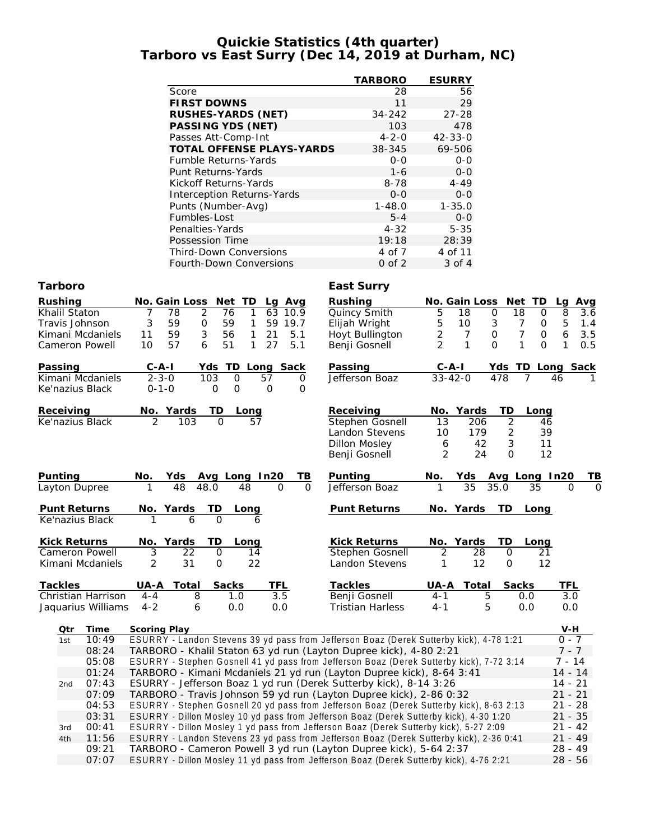#### **Quickie Statistics (4th quarter) Tarboro vs East Surry (Dec 14, 2019 at Durham, NC)**

|                     |                                                     | <b>TARBORO</b>          | <b>ESURRY</b>         |                          |                    |
|---------------------|-----------------------------------------------------|-------------------------|-----------------------|--------------------------|--------------------|
|                     | Score                                               | 28                      | 56                    |                          |                    |
|                     | <b>FIRST DOWNS</b>                                  | 11                      | 29                    |                          |                    |
|                     | RUSHES-YARDS (NET)                                  | 34-242                  | $27 - 28$             |                          |                    |
|                     | PASSING YDS (NET)                                   | 103                     | 478                   |                          |                    |
|                     | Passes Att-Comp-Int                                 | $4 - 2 - 0$             | 42-33-0               |                          |                    |
|                     | TOTAL OFFENSE PLAYS-YARDS                           | 38-345                  | 69-506                |                          |                    |
|                     | Fumble Returns-Yards                                | $O-O$                   | $O-O$                 |                          |                    |
|                     | Punt Returns-Yards                                  | $1 - 6$                 | $0-0$                 |                          |                    |
|                     | Kickoff Returns-Yards                               | $8 - 78$                | $4 - 49$              |                          |                    |
|                     | <b>Interception Returns-Yards</b>                   | $O-O$                   | $0-0$                 |                          |                    |
|                     | Punts (Number-Avg)                                  | $1 - 48.0$              | $1 - 35.0$            |                          |                    |
|                     | Fumbles-Lost                                        | $5 - 4$                 | $0 - 0$               |                          |                    |
|                     | Penalties-Yards                                     | $4 - 32$                | $5 - 35$              |                          |                    |
|                     | Possession Time                                     | 19:18                   | 28:39                 |                          |                    |
|                     | <b>Third-Down Conversions</b>                       | 4 of 7                  | 4 of 11               |                          |                    |
|                     | Fourth-Down Conversions                             | $0$ of $2$              | 3 of 4                |                          |                    |
| Tarboro             |                                                     | East Surry              |                       |                          |                    |
| Rushing             | No. Gain Loss<br>Net TD<br>Lg Avg                   | Rushing                 | No. Gain Loss         | Net TD                   | Avg<br>Lq          |
| Khalil Staton       | 7<br>78<br>2<br>63<br>76<br>10.9<br>1               | Quincy Smith            | 5<br>18               | 0<br>18<br>0             | 8<br>3.6           |
| Travis Johnson      | 59<br>59<br>3<br>1<br>59<br>19.7<br>0               | Elijah Wright           | 5<br>10               | $\mathfrak{Z}$<br>7<br>0 | $\mathbf 5$<br>1.4 |
| Kimani Mcdaniels    | 59<br>3<br>56<br>5.1<br>11<br>1<br>21               | Hoyt Bullington         | 2<br>$\boldsymbol{7}$ | $\overline{7}$<br>0<br>0 | 6<br>3.5           |
| Cameron Powell      | 5.1<br>10<br>57<br>6<br>51<br>27<br>1               | Benji Gosnell           | $\overline{2}$<br>1   | 1<br>0<br>0              | 1<br>0.5           |
| Passing             | $C-A-I$<br>Yds TD<br>Long Sack                      | Passing                 | C-A-I                 | Yds TD Long Sack         |                    |
| Kimani Mcdaniels    | $2 - 3 - 0$<br>103<br>$\mathsf{O}$<br>57<br>0       | Jefferson Boaz          | $33 - 42 - 0$         | 478<br>$\overline{7}$    | 46<br>1.           |
| Ke'nazius Black     | $0 - 1 - 0$<br>O<br>$\mathbf 0$<br>$\mathbf 0$<br>0 |                         |                       |                          |                    |
| Receiving           | No. Yards<br>TD<br>Long                             | Receiving               | No. Yards             | TD<br>Long               |                    |
| Ke'nazius Black     | $\overline{2}$<br>103<br>$\Omega$<br>57             | Stephen Gosnell         | 13<br>206             | $\overline{2}$<br>46     |                    |
|                     |                                                     | Landon Stevens          | 179<br>10             | 2<br>39                  |                    |
|                     |                                                     | <b>Dillon Mosley</b>    | 42<br>6               | 3<br>11                  |                    |
|                     |                                                     | Benji Gosnell           | 2<br>24               | 12<br>$\Omega$           |                    |
| <b>Punting</b>      | Yds<br>No.<br>Avg Long In20<br>TВ                   | Punting                 | No.<br>Yds            | Avg Long In20            | ΤВ                 |
| Layton Dupree       | 48<br>48.0<br>48<br>$\Omega$<br>$\Omega$            | Jefferson Boaz          | 35                    | 35.0<br>35               | $\Omega$<br>0      |
|                     |                                                     |                         |                       |                          |                    |
| Punt Returns        | TD<br>Yards<br>No.<br>Long                          | <b>Punt Returns</b>     | No. Yards             | TD<br>Long               |                    |
| Ke'nazius Black     | 6<br>$\Omega$<br>1<br>6                             |                         |                       |                          |                    |
| <b>Kick Returns</b> | No.<br>Yards<br>TD.<br>Long                         | <b>Kick Returns</b>     | No. Yards             | TD<br>Long               |                    |
| Cameron Powell      | 3<br>22<br>$\mathbf 0$<br>14                        | <b>Stephen Gosnell</b>  | 2<br>28               | $\circ$<br>21            |                    |
| Kimani Mcdaniels    | 31<br>22<br>2<br>$\mathbf 0$                        | Landon Stevens          | 1<br>12               | 12<br>$\circ$            |                    |
| Tackles             | Sacks<br>UA-A<br>Total<br>TFL                       | Tackles                 | UA-A<br>Total         | Sacks                    | TFL                |
| Christian Harrison  | 3.5<br>8<br>1.0<br>$4 - 4$                          | Benji Gosnell           | $4 - 1$               | 5<br>0.0                 | 3.0                |
| Jaquarius Williams  | $4 - 2$<br>6<br>0.0<br>0.0                          | <b>Tristian Harless</b> | $4 - 1$               | 5<br>0.0                 | 0.0                |

Jaquarius

| Qtr | Time  | Scoring Play                                                                             | V-H       |
|-----|-------|------------------------------------------------------------------------------------------|-----------|
| 1st | 10:49 | ESURRY - Landon Stevens 39 yd pass from Jefferson Boaz (Derek Sutterby kick), 4-78 1:21  | $0 - 7$   |
|     | 08:24 | TARBORO - Khalil Staton 63 yd run (Layton Dupree kick), 4-80 2:21                        | $7 - 7$   |
|     | 05:08 | ESURRY - Stephen Gosnell 41 yd pass from Jefferson Boaz (Derek Sutterby kick), 7-72 3:14 | 7 - 14    |
|     | 01:24 | TARBORO - Kimani Mcdaniels 21 yd run (Layton Dupree kick), 8-64 3:41                     | $14 - 14$ |
| 2nd | 07:43 | ESURRY - Jefferson Boaz 1 yd run (Derek Sutterby kick), 8-14 3:26                        | 14 - 21   |
|     | 07:09 | TARBORO - Travis Johnson 59 yd run (Layton Dupree kick), 2-86 0:32                       | $21 - 21$ |
|     | 04:53 | ESURRY - Stephen Gosnell 20 yd pass from Jefferson Boaz (Derek Sutterby kick), 8-63 2:13 | $21 - 28$ |
|     | 03:31 | ESURRY - Dillon Mosley 10 yd pass from Jefferson Boaz (Derek Sutterby kick), 4-30 1:20   | $21 - 35$ |
| 3rd | 00:41 | ESURRY - Dillon Mosley 1 yd pass from Jefferson Boaz (Derek Sutterby kick), 5-27 2:09    | $21 - 42$ |
| 4th | 11:56 | ESURRY - Landon Stevens 23 yd pass from Jefferson Boaz (Derek Sutterby kick), 2-36 0:41  | $21 - 49$ |
|     | 09:21 | TARBORO - Cameron Powell 3 yd run (Layton Dupree kick), 5-64 2:37                        | $28 - 49$ |
|     | 07:07 | ESURRY - Dillon Mosley 11 yd pass from Jefferson Boaz (Derek Sutterby kick), 4-76 2:21   | $28 - 56$ |